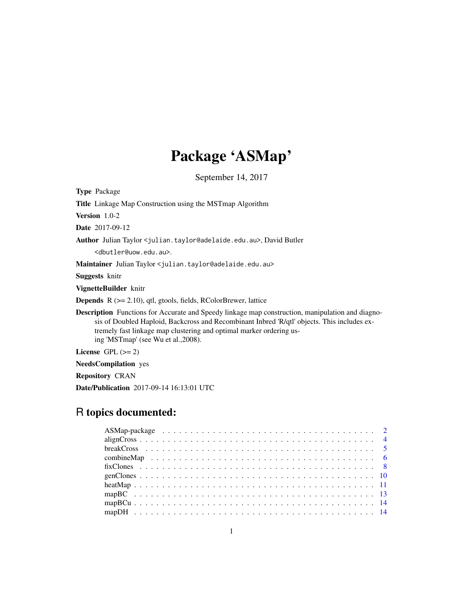# Package 'ASMap'

September 14, 2017

<span id="page-0-0"></span>

| <b>Type Package</b>                                                                                                                                                                                                                                                                                                  |
|----------------------------------------------------------------------------------------------------------------------------------------------------------------------------------------------------------------------------------------------------------------------------------------------------------------------|
| <b>Title</b> Linkage Map Construction using the MST map Algorithm                                                                                                                                                                                                                                                    |
| <b>Version</b> $1.0-2$                                                                                                                                                                                                                                                                                               |
| <b>Date</b> 2017-09-12                                                                                                                                                                                                                                                                                               |
| Author Julian Taylor < julian.taylor@adelaide.edu.au>, David Butler                                                                                                                                                                                                                                                  |
| <dbutler@uow.edu.au>.</dbutler@uow.edu.au>                                                                                                                                                                                                                                                                           |
| Maintainer Julian Taylor < julian.taylor@adelaide.edu.au>                                                                                                                                                                                                                                                            |
| <b>Suggests</b> knitr                                                                                                                                                                                                                                                                                                |
| VignetteBuilder knitr                                                                                                                                                                                                                                                                                                |
| <b>Depends</b> $R$ ( $>= 2.10$ ), qtl, gtools, fields, RColorBrewer, lattice                                                                                                                                                                                                                                         |
| <b>Description</b> Functions for Accurate and Speedy linkage map construction, manipulation and diagno-<br>sis of Doubled Haploid, Backcross and Recombinant Inbred 'R/qtl' objects. This includes ex-<br>tremely fast linkage map clustering and optimal marker ordering us-<br>ing 'MSTmap' (see Wu et al., 2008). |
| License $GPL (= 2)$                                                                                                                                                                                                                                                                                                  |
| <b>NeedsCompilation</b> yes                                                                                                                                                                                                                                                                                          |
| <b>Repository CRAN</b>                                                                                                                                                                                                                                                                                               |

Date/Publication 2017-09-14 16:13:01 UTC

# R topics documented: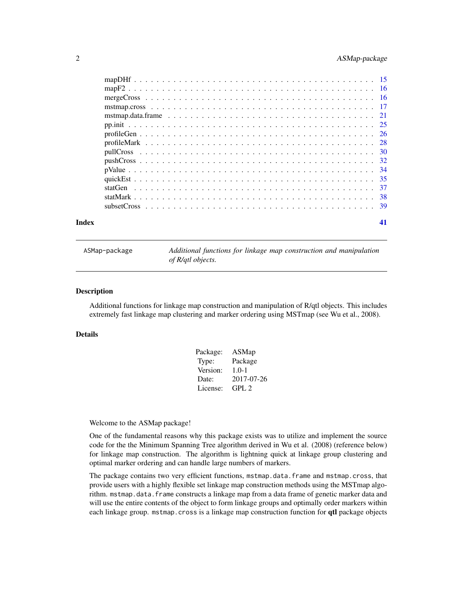# <span id="page-1-0"></span>2 ASMap-package

| Index | 41 |
|-------|----|

ASMap-package *Additional functions for linkage map construction and manipulation of R/qtl objects.*

# Description

Additional functions for linkage map construction and manipulation of R/qtl objects. This includes extremely fast linkage map clustering and marker ordering using MSTmap (see Wu et al., 2008).

# Details

| Package: | ASMap      |
|----------|------------|
| Type:    | Package    |
| Version: | $1.0 - 1$  |
| Date:    | 2017-07-26 |
| License: | GPL 2      |

Welcome to the ASMap package!

One of the fundamental reasons why this package exists was to utilize and implement the source code for the the Minimum Spanning Tree algorithm derived in Wu et al. (2008) (reference below) for linkage map construction. The algorithm is lightning quick at linkage group clustering and optimal marker ordering and can handle large numbers of markers.

The package contains two very efficient functions, mstmap.data.frame and mstmap.cross, that provide users with a highly flexible set linkage map construction methods using the MSTmap algorithm. mstmap.data.frame constructs a linkage map from a data frame of genetic marker data and will use the entire contents of the object to form linkage groups and optimally order markers within each linkage group. mstmap.cross is a linkage map construction function for qtl package objects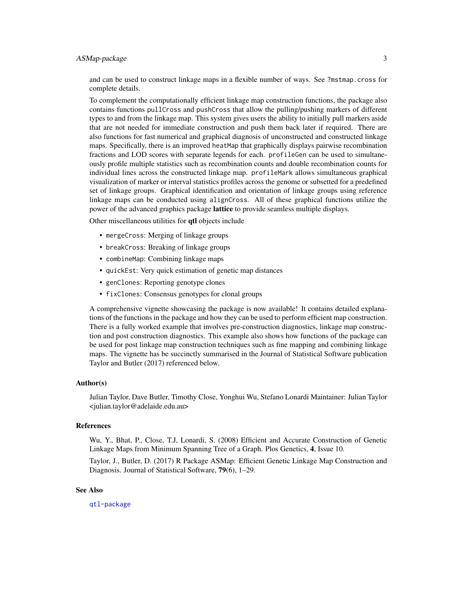# ASMap-package 3

and can be used to construct linkage maps in a flexible number of ways. See ?mstmap.cross for complete details.

To complement the computationally efficient linkage map construction functions, the package also contains functions pullCross and pushCross that allow the pulling/pushing markers of different types to and from the linkage map. This system gives users the ability to initially pull markers aside that are not needed for immediate construction and push them back later if required. There are also functions for fast numerical and graphical diagnosis of unconstructed and constructed linkage maps. Specifically, there is an improved heatMap that graphically displays pairwise recombination fractions and LOD scores with separate legends for each. profileGen can be used to simultaneously profile multiple statistics such as recombination counts and double recombination counts for individual lines across the constructed linkage map. profileMark allows simultaneous graphical visualization of marker or interval statistics profiles across the genome or subsetted for a predefined set of linkage groups. Graphical identification and orientation of linkage groups using reference linkage maps can be conducted using alignCross. All of these graphical functions utilize the power of the advanced graphics package **lattice** to provide seamless multiple displays.

Other miscellaneous utilities for qtl objects include

- mergeCross: Merging of linkage groups
- breakCross: Breaking of linkage groups
- combineMap: Combining linkage maps
- quickEst: Very quick estimation of genetic map distances
- genClones: Reporting genotype clones
- fixClones: Consensus genotypes for clonal groups

A comprehensive vignette showcasing the package is now available! It contains detailed explanations of the functions in the package and how they can be used to perform efficient map construction. There is a fully worked example that involves pre-construction diagnostics, linkage map construction and post construction diagnostics. This example also shows how functions of the package can be used for post linkage map construction techniques such as fine mapping and combining linkage maps. The vignette has be succinctly summarised in the Journal of Statistical Software publication Taylor and Butler (2017) referenced below.

#### Author(s)

Julian Taylor, Dave Butler, Timothy Close, Yonghui Wu, Stefano Lonardi Maintainer: Julian Taylor <julian.taylor@adelaide.edu.au>

#### References

Wu, Y., Bhat, P., Close, T.J, Lonardi, S. (2008) Efficient and Accurate Construction of Genetic Linkage Maps from Minimum Spanning Tree of a Graph. Plos Genetics, 4, Issue 10.

Taylor, J., Butler, D. (2017) R Package ASMap: Efficient Genetic Linkage Map Construction and Diagnosis. Journal of Statistical Software, 79(6), 1–29.

# See Also

[qtl-package](#page-0-0)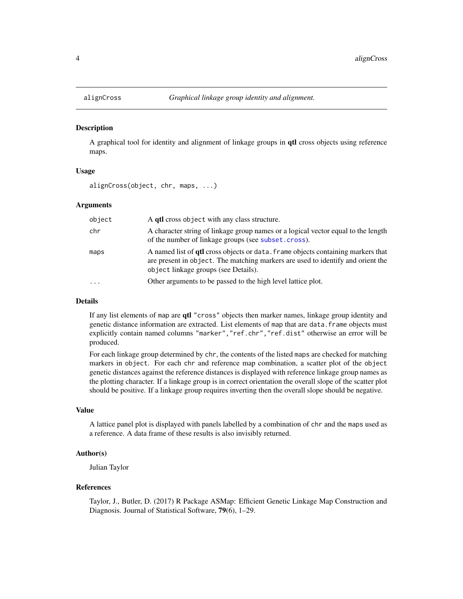<span id="page-3-0"></span>

#### Description

A graphical tool for identity and alignment of linkage groups in qtl cross objects using reference maps.

# Usage

alignCross(object, chr, maps, ...)

# Arguments

| object | A qtl cross object with any class structure.                                                                                                                                                                       |
|--------|--------------------------------------------------------------------------------------------------------------------------------------------------------------------------------------------------------------------|
| chr    | A character string of linkage group names or a logical vector equal to the length<br>of the number of linkage groups (see subset.cross).                                                                           |
| maps   | A named list of <b>qtl</b> cross objects or data. frame objects containing markers that<br>are present in object. The matching markers are used to identify and orient the<br>object linkage groups (see Details). |
|        | Other arguments to be passed to the high level lattice plot.                                                                                                                                                       |

#### Details

If any list elements of map are qtl "cross" objects then marker names, linkage group identity and genetic distance information are extracted. List elements of map that are data.frame objects must explicitly contain named columns "marker","ref.chr","ref.dist" otherwise an error will be produced.

For each linkage group determined by chr, the contents of the listed maps are checked for matching markers in object. For each chr and reference map combination, a scatter plot of the object genetic distances against the reference distances is displayed with reference linkage group names as the plotting character. If a linkage group is in correct orientation the overall slope of the scatter plot should be positive. If a linkage group requires inverting then the overall slope should be negative.

#### Value

A lattice panel plot is displayed with panels labelled by a combination of chr and the maps used as a reference. A data frame of these results is also invisibly returned.

# Author(s)

Julian Taylor

### References

Taylor, J., Butler, D. (2017) R Package ASMap: Efficient Genetic Linkage Map Construction and Diagnosis. Journal of Statistical Software, 79(6), 1–29.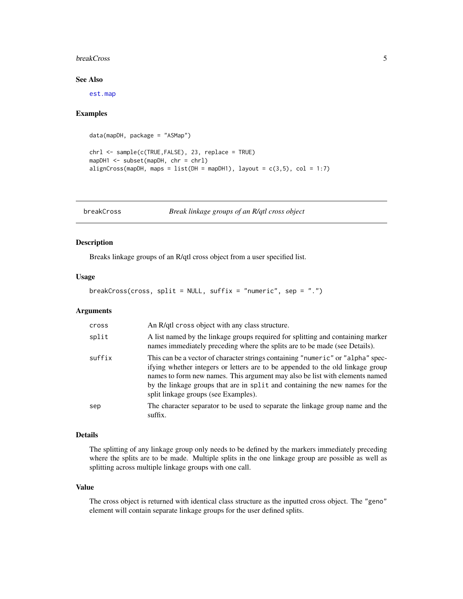#### <span id="page-4-0"></span>breakCross 5

# See Also

[est.map](#page-0-0)

#### Examples

```
data(mapDH, package = "ASMap")
chrl <- sample(c(TRUE,FALSE), 23, replace = TRUE)
mapDH1 <- subset(mapDH, chr = chrl)
alignCross(mapDH, maps = list(DH = mapDH1), layout = c(3,5), col = 1:7)
```
<span id="page-4-1"></span>breakCross *Break linkage groups of an R/qtl cross object*

# Description

Breaks linkage groups of an R/qtl cross object from a user specified list.

### Usage

```
breakCross(cross, split = NULL, suffix = "numeric", sep = ".")
```
# Arguments

| cross  | An R/qtl cross object with any class structure.                                                                                                                                                                                                                                                                                                                           |
|--------|---------------------------------------------------------------------------------------------------------------------------------------------------------------------------------------------------------------------------------------------------------------------------------------------------------------------------------------------------------------------------|
| split  | A list named by the linkage groups required for splitting and containing marker<br>names immediately preceding where the splits are to be made (see Details).                                                                                                                                                                                                             |
| suffix | This can be a vector of character strings containing "numeric" or "alpha" spec-<br>if ying whether integers or letters are to be appended to the old linkage group<br>names to form new names. This argument may also be list with elements named<br>by the linkage groups that are in split and containing the new names for the<br>split linkage groups (see Examples). |
| sep    | The character separator to be used to separate the linkage group name and the<br>suffix.                                                                                                                                                                                                                                                                                  |

#### Details

The splitting of any linkage group only needs to be defined by the markers immediately preceding where the splits are to be made. Multiple splits in the one linkage group are possible as well as splitting across multiple linkage groups with one call.

# Value

The cross object is returned with identical class structure as the inputted cross object. The "geno" element will contain separate linkage groups for the user defined splits.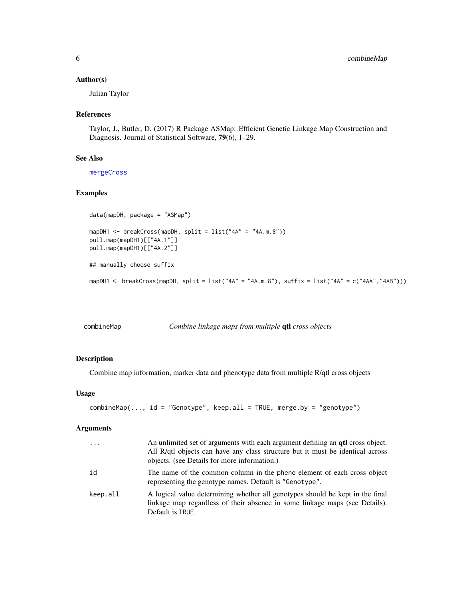# <span id="page-5-0"></span>Author(s)

Julian Taylor

# References

Taylor, J., Butler, D. (2017) R Package ASMap: Efficient Genetic Linkage Map Construction and Diagnosis. Journal of Statistical Software, 79(6), 1–29.

# See Also

[mergeCross](#page-15-1)

# Examples

```
data(mapDH, package = "ASMap")
mapDH1 <- breakCross(mapDH, split = list("4A" = "4A.m.8"))
pull.map(mapDH1)[["4A.1"]]
pull.map(mapDH1)[["4A.2"]]
## manually choose suffix
mapDH1 <- breakCross(mapDH, split = list("4A" = "4A.m.8"), suffix = list("4A" = c("4AA","4AB")))
```

| combineMap | Combine linkage maps from multiple qtl cross objects |  |  |
|------------|------------------------------------------------------|--|--|
|            |                                                      |  |  |

# Description

Combine map information, marker data and phenotype data from multiple R/qtl cross objects

#### Usage

```
combineMap(..., id = "Genotype", keep-all = TRUE, merge_by = "genotype")
```

| $\cdot \cdot \cdot$ | An unlimited set of arguments with each argument defining an <b>qtl</b> cross object.<br>All R/qtl objects can have any class structure but it must be identical across<br>objects. (see Details for more information.) |
|---------------------|-------------------------------------------------------------------------------------------------------------------------------------------------------------------------------------------------------------------------|
| id                  | The name of the common column in the pheno element of each cross object<br>representing the genotype names. Default is "Genotype".                                                                                      |
| keep.all            | A logical value determining whether all genotypes should be kept in the final<br>linkage map regardless of their absence in some linkage maps (see Details).<br>Default is TRUE.                                        |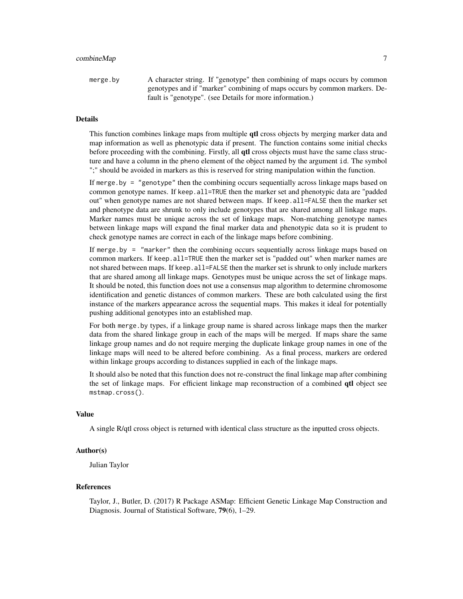# combineMap 7

merge.by A character string. If "genotype" then combining of maps occurs by common genotypes and if "marker" combining of maps occurs by common markers. Default is "genotype". (see Details for more information.)

# Details

This function combines linkage maps from multiple **qtl** cross objects by merging marker data and map information as well as phenotypic data if present. The function contains some initial checks before proceeding with the combining. Firstly, all **qtl** cross objects must have the same class structure and have a column in the pheno element of the object named by the argument id. The symbol ";" should be avoided in markers as this is reserved for string manipulation within the function.

If merge.by = "genotype" then the combining occurs sequentially across linkage maps based on common genotype names. If keep.all=TRUE then the marker set and phenotypic data are "padded out" when genotype names are not shared between maps. If keep.all=FALSE then the marker set and phenotype data are shrunk to only include genotypes that are shared among all linkage maps. Marker names must be unique across the set of linkage maps. Non-matching genotype names between linkage maps will expand the final marker data and phenotypic data so it is prudent to check genotype names are correct in each of the linkage maps before combining.

If merge. by  $=$  "marker" then the combining occurs sequentially across linkage maps based on common markers. If keep.all=TRUE then the marker set is "padded out" when marker names are not shared between maps. If keep. all=FALSE then the marker set is shrunk to only include markers that are shared among all linkage maps. Genotypes must be unique across the set of linkage maps. It should be noted, this function does not use a consensus map algorithm to determine chromosome identification and genetic distances of common markers. These are both calculated using the first instance of the markers appearance across the sequential maps. This makes it ideal for potentially pushing additional genotypes into an established map.

For both merge.by types, if a linkage group name is shared across linkage maps then the marker data from the shared linkage group in each of the maps will be merged. If maps share the same linkage group names and do not require merging the duplicate linkage group names in one of the linkage maps will need to be altered before combining. As a final process, markers are ordered within linkage groups according to distances supplied in each of the linkage maps.

It should also be noted that this function does not re-construct the final linkage map after combining the set of linkage maps. For efficient linkage map reconstruction of a combined qtl object see mstmap.cross().

# Value

A single R/qtl cross object is returned with identical class structure as the inputted cross objects.

#### Author(s)

Julian Taylor

# References

Taylor, J., Butler, D. (2017) R Package ASMap: Efficient Genetic Linkage Map Construction and Diagnosis. Journal of Statistical Software, 79(6), 1–29.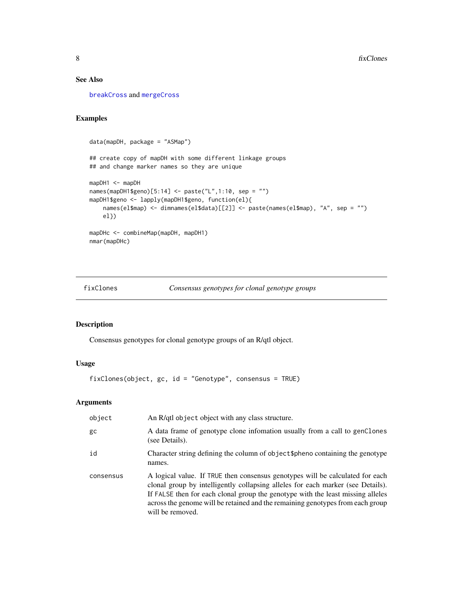# <span id="page-7-0"></span>See Also

[breakCross](#page-4-1) and [mergeCross](#page-15-1)

# Examples

```
data(mapDH, package = "ASMap")
## create copy of mapDH with some different linkage groups
## and change marker names so they are unique
mapDH1 <- mapDH
names(mapDH1$geno)[5:14] <- paste("L",1:10, sep = "")
mapDH1$geno <- lapply(mapDH1$geno, function(el){
   names(el$map) <- dimnames(el$data)[[2]] <- paste(names(el$map), "A", sep = "")
   el})
mapDHc <- combineMap(mapDH, mapDH1)
nmar(mapDHc)
```
<span id="page-7-1"></span>fixClones *Consensus genotypes for clonal genotype groups*

# Description

Consensus genotypes for clonal genotype groups of an R/qtl object.

#### Usage

fixClones(object, gc, id = "Genotype", consensus = TRUE)

| object    | An R/qtl object object with any class structure.                                                                                                                                                                                                                                                                                                          |
|-----------|-----------------------------------------------------------------------------------------------------------------------------------------------------------------------------------------------------------------------------------------------------------------------------------------------------------------------------------------------------------|
| gc        | A data frame of genotype clone infomation usually from a call to genClones<br>(see Details).                                                                                                                                                                                                                                                              |
| id        | Character string defining the column of object \$pheno containing the genotype<br>names.                                                                                                                                                                                                                                                                  |
| consensus | A logical value. If TRUE then consensus genotypes will be calculated for each<br>clonal group by intelligently collapsing alleles for each marker (see Details).<br>If FALSE then for each clonal group the genotype with the least missing alleles<br>across the genome will be retained and the remaining genotypes from each group<br>will be removed. |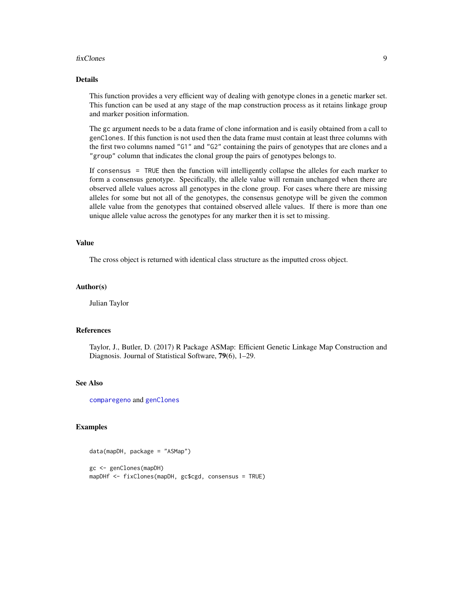#### <span id="page-8-0"></span>fixClones 9

# Details

This function provides a very efficient way of dealing with genotype clones in a genetic marker set. This function can be used at any stage of the map construction process as it retains linkage group and marker position information.

The gc argument needs to be a data frame of clone information and is easily obtained from a call to genClones. If this function is not used then the data frame must contain at least three columns with the first two columns named "G1" and "G2" containing the pairs of genotypes that are clones and a "group" column that indicates the clonal group the pairs of genotypes belongs to.

If consensus = TRUE then the function will intelligently collapse the alleles for each marker to form a consensus genotype. Specifically, the allele value will remain unchanged when there are observed allele values across all genotypes in the clone group. For cases where there are missing alleles for some but not all of the genotypes, the consensus genotype will be given the common allele value from the genotypes that contained observed allele values. If there is more than one unique allele value across the genotypes for any marker then it is set to missing.

#### Value

The cross object is returned with identical class structure as the imputted cross object.

#### Author(s)

Julian Taylor

# References

Taylor, J., Butler, D. (2017) R Package ASMap: Efficient Genetic Linkage Map Construction and Diagnosis. Journal of Statistical Software, 79(6), 1–29.

#### See Also

[comparegeno](#page-0-0) and [genClones](#page-9-1)

#### Examples

```
data(mapDH, package = "ASMap")
gc <- genClones(mapDH)
mapDHf <- fixClones(mapDH, gc$cgd, consensus = TRUE)
```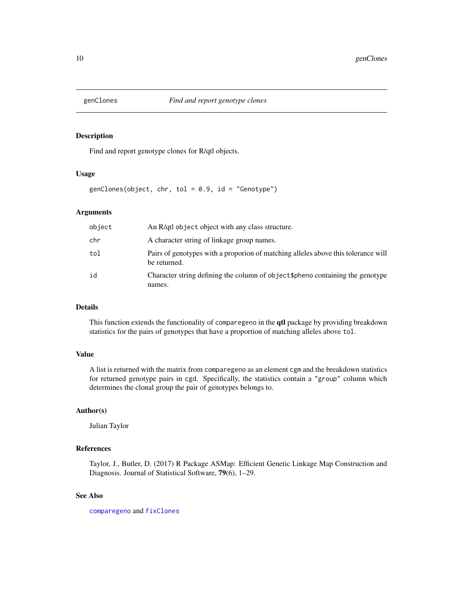<span id="page-9-1"></span><span id="page-9-0"></span>

# Description

Find and report genotype clones for R/qtl objects.

# Usage

genClones(object, chr, tol =  $0.9$ , id = "Genotype")

# Arguments

| object | An R/qtl object object with any class structure.                                                  |
|--------|---------------------------------------------------------------------------------------------------|
| chr    | A character string of linkage group names.                                                        |
| tol    | Pairs of genotypes with a proporion of matching alleles above this tolerance will<br>be returned. |
| id     | Character string defining the column of object \$pheno containing the genotype<br>names.          |

# Details

This function extends the functionality of comparegeno in the qtl package by providing breakdown statistics for the pairs of genotypes that have a proportion of matching alleles above tol.

# Value

A list is returned with the matrix from comparegeno as an element cgm and the breakdown statistics for returned genotype pairs in cgd. Specifically, the statistics contain a "group" column which determines the clonal group the pair of genotypes belongs to.

# Author(s)

Julian Taylor

# References

Taylor, J., Butler, D. (2017) R Package ASMap: Efficient Genetic Linkage Map Construction and Diagnosis. Journal of Statistical Software, 79(6), 1–29.

# See Also

[comparegeno](#page-0-0) and [fixClones](#page-7-1)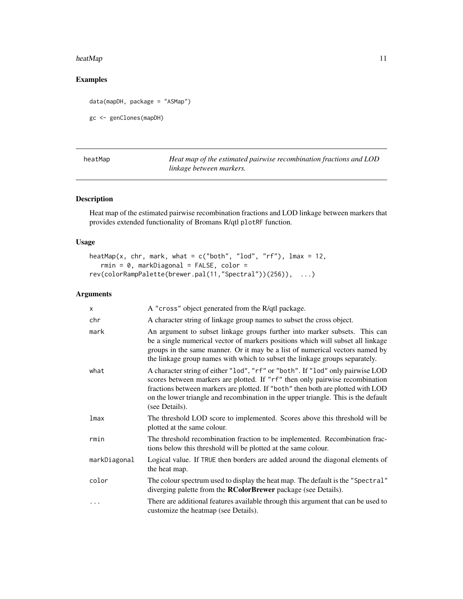#### <span id="page-10-0"></span>heatMap 2012 11 and 2012 11 and 2012 12:30 12:30 12:30 12:30 12:30 12:30 12:30 12:30 12:30 12:30 12:30 12:30 12:30 12:30 12:30 12:30 12:30 12:30 12:30 12:30 12:30 12:30 12:30 12:30 12:30 12:30 12:30 12:30 12:30 12:30 12:30

# Examples

```
data(mapDH, package = "ASMap")
gc <- genClones(mapDH)
```

| heatMap | Heat map of the estimated pairwise recombination fractions and LOD |
|---------|--------------------------------------------------------------------|
|         | linkage between markers.                                           |

# Description

Heat map of the estimated pairwise recombination fractions and LOD linkage between markers that provides extended functionality of Bromans R/qtl plotRF function.

# Usage

```
heatMap(x, chr, mark, what = c("both", "lod", "rf"), \text{lmax} = 12,rmin = 0, markDiagonal = FALSE, color =
rev(colorRampPalette(brewer.pal(11,"Spectral"))(256)), ...)
```

| $\mathsf{x}$ | A "cross" object generated from the R/qtl package.                                                                                                                                                                                                                                                                                                        |
|--------------|-----------------------------------------------------------------------------------------------------------------------------------------------------------------------------------------------------------------------------------------------------------------------------------------------------------------------------------------------------------|
| chr          | A character string of linkage group names to subset the cross object.                                                                                                                                                                                                                                                                                     |
| mark         | An argument to subset linkage groups further into marker subsets. This can<br>be a single numerical vector of markers positions which will subset all linkage<br>groups in the same manner. Or it may be a list of numerical vectors named by<br>the linkage group names with which to subset the linkage groups separately.                              |
| what         | A character string of either "lod", "rf" or "both". If "lod" only pairwise LOD<br>scores between markers are plotted. If "rf" then only pairwise recombination<br>fractions between markers are plotted. If "both" then both are plotted with LOD<br>on the lower triangle and recombination in the upper triangle. This is the default<br>(see Details). |
| lmax         | The threshold LOD score to implemented. Scores above this threshold will be<br>plotted at the same colour.                                                                                                                                                                                                                                                |
| rmin         | The threshold recombination fraction to be implemented. Recombination frac-<br>tions below this threshold will be plotted at the same colour.                                                                                                                                                                                                             |
| markDiagonal | Logical value. If TRUE then borders are added around the diagonal elements of<br>the heat map.                                                                                                                                                                                                                                                            |
| color        | The colour spectrum used to display the heat map. The default is the "Spectral"<br>diverging palette from the <b>RColorBrewer</b> package (see Details).                                                                                                                                                                                                  |
|              | There are additional features available through this argument that can be used to<br>customize the heatmap (see Details).                                                                                                                                                                                                                                 |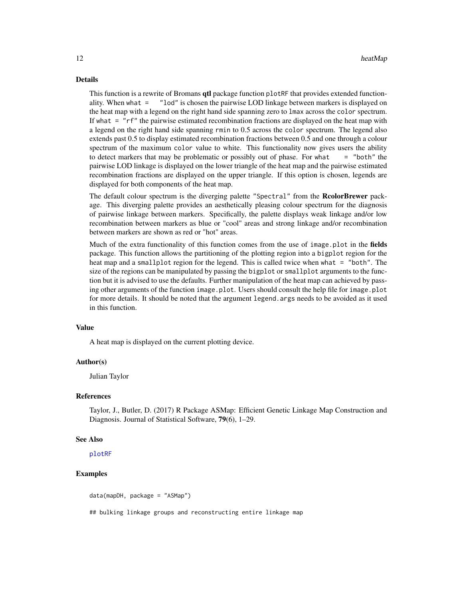#### <span id="page-11-0"></span>Details

This function is a rewrite of Bromans **qtl** package function plot RF that provides extended functionality. When what = "lod" is chosen the pairwise LOD linkage between markers is displayed on the heat map with a legend on the right hand side spanning zero to lmax across the color spectrum. If what = "rf" the pairwise estimated recombination fractions are displayed on the heat map with a legend on the right hand side spanning rmin to 0.5 across the color spectrum. The legend also extends past 0.5 to display estimated recombination fractions between 0.5 and one through a colour spectrum of the maximum color value to white. This functionality now gives users the ability to detect markers that may be problematic or possibly out of phase. For what  $=$  "both" the pairwise LOD linkage is displayed on the lower triangle of the heat map and the pairwise estimated recombination fractions are displayed on the upper triangle. If this option is chosen, legends are displayed for both components of the heat map.

The default colour spectrum is the diverging palette "Spectral" from the RcolorBrewer package. This diverging palette provides an aesthetically pleasing colour spectrum for the diagnosis of pairwise linkage between markers. Specifically, the palette displays weak linkage and/or low recombination between markers as blue or "cool" areas and strong linkage and/or recombination between markers are shown as red or "hot" areas.

Much of the extra functionality of this function comes from the use of image.plot in the fields package. This function allows the partitioning of the plotting region into a bigplot region for the heat map and a smallplot region for the legend. This is called twice when what = "both". The size of the regions can be manipulated by passing the bigplot or smallplot arguments to the function but it is advised to use the defaults. Further manipulation of the heat map can achieved by passing other arguments of the function image.plot. Users should consult the help file for image.plot for more details. It should be noted that the argument legend.args needs to be avoided as it used in this function.

#### Value

A heat map is displayed on the current plotting device.

#### Author(s)

Julian Taylor

#### References

Taylor, J., Butler, D. (2017) R Package ASMap: Efficient Genetic Linkage Map Construction and Diagnosis. Journal of Statistical Software, 79(6), 1–29.

#### See Also

[plotRF](#page-0-0)

# Examples

data(mapDH, package = "ASMap")

## bulking linkage groups and reconstructing entire linkage map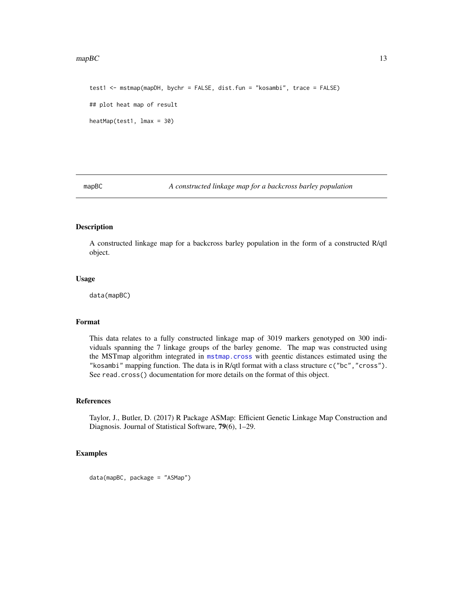#### <span id="page-12-0"></span> $mapBC$  13

```
test1 <- mstmap(mapDH, bychr = FALSE, dist.fun = "kosambi", trace = FALSE)
## plot heat map of result
heatMap(test1, lmax = 30)
```
<span id="page-12-1"></span>

mapBC *A constructed linkage map for a backcross barley population*

#### Description

A constructed linkage map for a backcross barley population in the form of a constructed R/qtl object.

#### Usage

data(mapBC)

# Format

This data relates to a fully constructed linkage map of 3019 markers genotyped on 300 individuals spanning the 7 linkage groups of the barley genome. The map was constructed using the MSTmap algorithm integrated in [mstmap.cross](#page-16-1) with geentic distances estimated using the "kosambi" mapping function. The data is in R/qtl format with a class structure c("bc","cross"). See read.cross() documentation for more details on the format of this object.

#### References

Taylor, J., Butler, D. (2017) R Package ASMap: Efficient Genetic Linkage Map Construction and Diagnosis. Journal of Statistical Software, 79(6), 1–29.

# Examples

```
data(mapBC, package = "ASMap")
```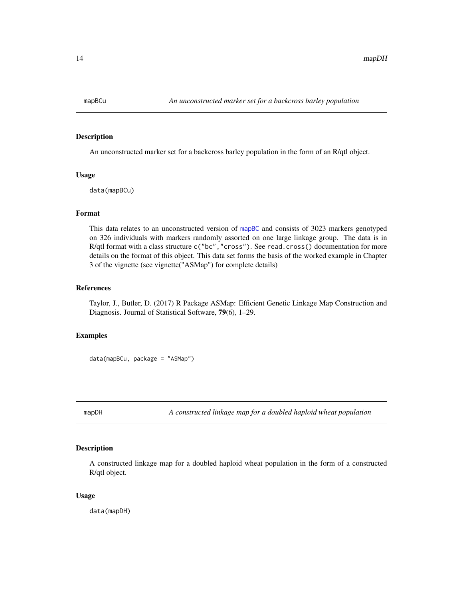<span id="page-13-0"></span>

# Description

An unconstructed marker set for a backcross barley population in the form of an R/qtl object.

#### Usage

data(mapBCu)

#### Format

This data relates to an unconstructed version of [mapBC](#page-12-1) and consists of 3023 markers genotyped on 326 individuals with markers randomly assorted on one large linkage group. The data is in R/qtl format with a class structure c("bc", "cross"). See read.cross() documentation for more details on the format of this object. This data set forms the basis of the worked example in Chapter 3 of the vignette (see vignette("ASMap") for complete details)

# References

Taylor, J., Butler, D. (2017) R Package ASMap: Efficient Genetic Linkage Map Construction and Diagnosis. Journal of Statistical Software, 79(6), 1–29.

# Examples

data(mapBCu, package = "ASMap")

<span id="page-13-1"></span>mapDH *A constructed linkage map for a doubled haploid wheat population*

# Description

A constructed linkage map for a doubled haploid wheat population in the form of a constructed R/qtl object.

#### Usage

data(mapDH)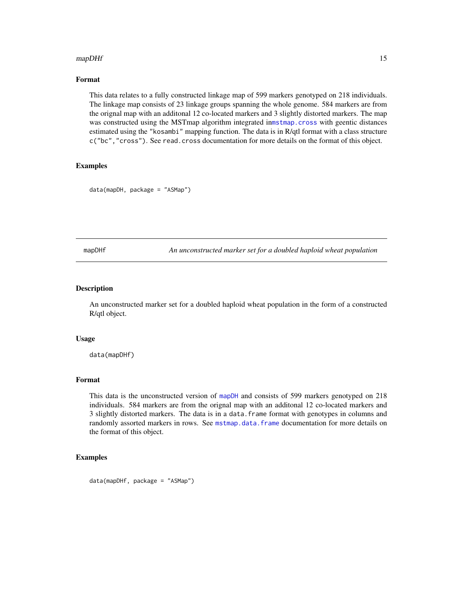#### <span id="page-14-0"></span> $mapDHf$  15

# Format

This data relates to a fully constructed linkage map of 599 markers genotyped on 218 individuals. The linkage map consists of 23 linkage groups spanning the whole genome. 584 markers are from the orignal map with an additonal 12 co-located markers and 3 slightly distorted markers. The map was constructed using the MSTmap algorithm integrated in[mstmap.cross](#page-16-1) with geentic distances estimated using the "kosambi" mapping function. The data is in R/qtl format with a class structure c("bc","cross"). See read.cross documentation for more details on the format of this object.

# Examples

```
data(mapDH, package = "ASMap")
```
mapDHf *An unconstructed marker set for a doubled haploid wheat population*

#### Description

An unconstructed marker set for a doubled haploid wheat population in the form of a constructed R/qtl object.

#### Usage

data(mapDHf)

# Format

This data is the unconstructed version of [mapDH](#page-13-1) and consists of 599 markers genotyped on 218 individuals. 584 markers are from the orignal map with an additonal 12 co-located markers and 3 slightly distorted markers. The data is in a data.frame format with genotypes in columns and randomly assorted markers in rows. See [mstmap.data.frame](#page-20-1) documentation for more details on the format of this object.

#### Examples

data(mapDHf, package = "ASMap")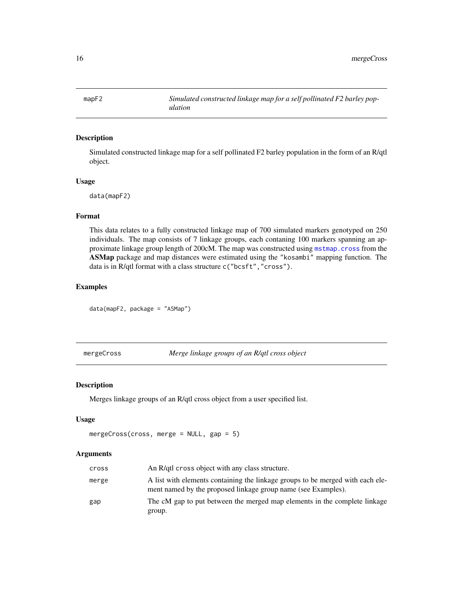<span id="page-15-0"></span>mapF2 *Simulated constructed linkage map for a self pollinated F2 barley population*

# Description

Simulated constructed linkage map for a self pollinated F2 barley population in the form of an R/qtl object.

#### Usage

data(mapF2)

# Format

This data relates to a fully constructed linkage map of 700 simulated markers genotyped on 250 individuals. The map consists of 7 linkage groups, each contaning 100 markers spanning an approximate linkage group length of 200cM. The map was constructed using [mstmap.cross](#page-16-1) from the ASMap package and map distances were estimated using the "kosambi" mapping function. The data is in R/qtl format with a class structure c("bcsft","cross").

# Examples

```
data(mapF2, package = "ASMap")
```
<span id="page-15-1"></span>mergeCross *Merge linkage groups of an R/qtl cross object*

# Description

Merges linkage groups of an R/qtl cross object from a user specified list.

# Usage

```
mergeCross(cross, merge = NULL, gap = 5)
```

| cross | An R/qtl cross object with any class structure.                                                                                                 |
|-------|-------------------------------------------------------------------------------------------------------------------------------------------------|
| merge | A list with elements containing the linkage groups to be merged with each ele-<br>ment named by the proposed linkage group name (see Examples). |
| gap   | The cM gap to put between the merged map elements in the complete linkage<br>group.                                                             |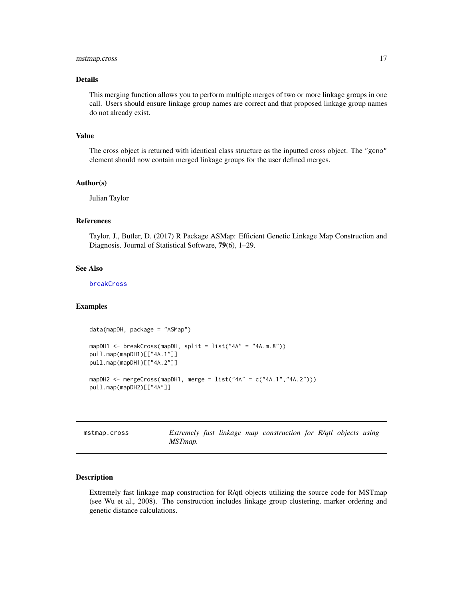# <span id="page-16-0"></span>mstmap.cross 17

#### Details

This merging function allows you to perform multiple merges of two or more linkage groups in one call. Users should ensure linkage group names are correct and that proposed linkage group names do not already exist.

#### Value

The cross object is returned with identical class structure as the inputted cross object. The "geno" element should now contain merged linkage groups for the user defined merges.

### Author(s)

Julian Taylor

## References

Taylor, J., Butler, D. (2017) R Package ASMap: Efficient Genetic Linkage Map Construction and Diagnosis. Journal of Statistical Software, 79(6), 1–29.

#### See Also

[breakCross](#page-4-1)

# Examples

```
data(mapDH, package = "ASMap")
mapDH1 <- breakCross(mapDH, split = list("4A" = "4A.m.8"))
pull.map(mapDH1)[["4A.1"]]
pull.map(mapDH1)[["4A.2"]]
mapDH2 <- mergeCross(mapDH1, merge = list("4A" = c("4A.1", "4A.2"))pull.map(mapDH2)[["4A"]]
```
<span id="page-16-1"></span>mstmap.cross *Extremely fast linkage map construction for R/qtl objects using MSTmap.*

#### Description

Extremely fast linkage map construction for R/qtl objects utilizing the source code for MSTmap (see Wu et al., 2008). The construction includes linkage group clustering, marker ordering and genetic distance calculations.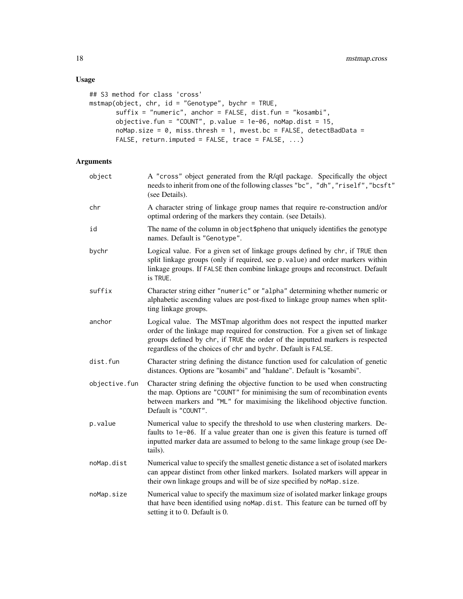# Usage

```
## S3 method for class 'cross'
mstmap(object, chr, id = "Genotype", bychr = TRUE,
       suffix = "numeric", anchor = FALSE, dist.fun = "kosambi",
      objective.fun = "COUNT", p.value = 1e-06, noMap.dist = 15,
      noMap.size = 0, miss.thresh = 1, mvest.bc = FALSE, detectBadData =
      FALSE, return.imputed = FALSE, trace = FALSE, ...)
```

| object        | A "cross" object generated from the R/qtl package. Specifically the object<br>needs to inherit from one of the following classes "bc", "dh", "riself", "bcsft"<br>(see Details).                                                                                                                             |  |
|---------------|--------------------------------------------------------------------------------------------------------------------------------------------------------------------------------------------------------------------------------------------------------------------------------------------------------------|--|
| chr           | A character string of linkage group names that require re-construction and/or<br>optimal ordering of the markers they contain. (see Details).                                                                                                                                                                |  |
| id            | The name of the column in object \$pheno that uniquely identifies the genotype<br>names. Default is "Genotype".                                                                                                                                                                                              |  |
| bychr         | Logical value. For a given set of linkage groups defined by chr, if TRUE then<br>split linkage groups (only if required, see p. value) and order markers within<br>linkage groups. If FALSE then combine linkage groups and reconstruct. Default<br>is TRUE.                                                 |  |
| suffix        | Character string either "numeric" or "alpha" determining whether numeric or<br>alphabetic ascending values are post-fixed to linkage group names when split-<br>ting linkage groups.                                                                                                                         |  |
| anchor        | Logical value. The MSTmap algorithm does not respect the inputted marker<br>order of the linkage map required for construction. For a given set of linkage<br>groups defined by chr, if TRUE the order of the inputted markers is respected<br>regardless of the choices of chr and bychr. Default is FALSE. |  |
| dist.fun      | Character string defining the distance function used for calculation of genetic<br>distances. Options are "kosambi" and "haldane". Default is "kosambi".                                                                                                                                                     |  |
| objective.fun | Character string defining the objective function to be used when constructing<br>the map. Options are "COUNT" for minimising the sum of recombination events<br>between markers and "ML" for maximising the likelihood objective function.<br>Default is "COUNT".                                            |  |
| p.value       | Numerical value to specify the threshold to use when clustering markers. De-<br>faults to 1e-06. If a value greater than one is given this feature is turned off<br>inputted marker data are assumed to belong to the same linkage group (see De-<br>tails).                                                 |  |
| noMap.dist    | Numerical value to specify the smallest genetic distance a set of isolated markers<br>can appear distinct from other linked markers. Isolated markers will appear in<br>their own linkage groups and will be of size specified by noMap.size.                                                                |  |
| noMap.size    | Numerical value to specify the maximum size of isolated marker linkage groups<br>that have been identified using noMap.dist. This feature can be turned off by<br>setting it to 0. Default is 0.                                                                                                             |  |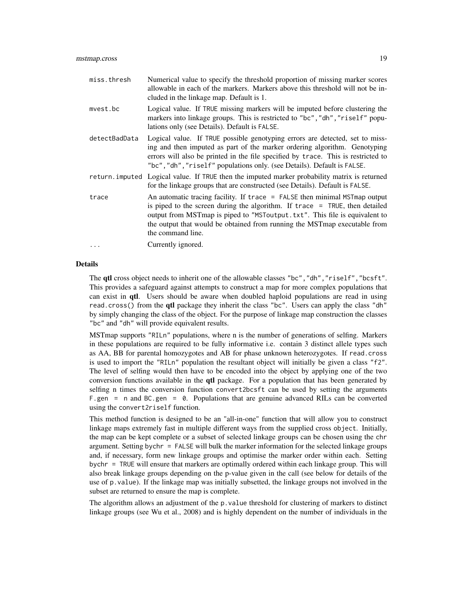| miss.thresh   | Numerical value to specify the threshold proportion of missing marker scores<br>allowable in each of the markers. Markers above this threshold will not be in-<br>cluded in the linkage map. Default is 1.                                                                                                                                       |
|---------------|--------------------------------------------------------------------------------------------------------------------------------------------------------------------------------------------------------------------------------------------------------------------------------------------------------------------------------------------------|
| mvest.bc      | Logical value. If TRUE missing markers will be imputed before clustering the<br>markers into linkage groups. This is restricted to "bc", "dh", "riself" popu-<br>lations only (see Details). Default is FALSE.                                                                                                                                   |
| detectBadData | Logical value. If TRUE possible genotyping errors are detected, set to miss-<br>ing and then imputed as part of the marker ordering algorithm. Genotyping<br>errors will also be printed in the file specified by trace. This is restricted to<br>"bc", "dh", "riself" populations only. (see Details). Default is FALSE.                        |
|               | return imputed Logical value. If TRUE then the imputed marker probability matrix is returned<br>for the linkage groups that are constructed (see Details). Default is FALSE.                                                                                                                                                                     |
| trace         | An automatic tracing facility. If $trace = FALSE$ then minimal MST map output<br>is piped to the screen during the algorithm. If $trace = TRUE$ , then detailed<br>output from MSTmap is piped to "MSToutput.txt". This file is equivalent to<br>the output that would be obtained from running the MST map executable from<br>the command line. |
| $\ddotsc$     | Currently ignored.                                                                                                                                                                                                                                                                                                                               |

#### Details

The qtl cross object needs to inherit one of the allowable classes "bc","dh","riself","bcsft". This provides a safeguard against attempts to construct a map for more complex populations that can exist in qtl. Users should be aware when doubled haploid populations are read in using read.cross() from the **qtl** package they inherit the class "bc". Users can apply the class "dh" by simply changing the class of the object. For the purpose of linkage map construction the classes "bc" and "dh" will provide equivalent results.

MSTmap supports "RILn" populations, where n is the number of generations of selfing. Markers in these populations are required to be fully informative i.e. contain 3 distinct allele types such as AA, BB for parental homozygotes and AB for phase unknown heterozygotes. If read.cross is used to import the "RILn" population the resultant object will initially be given a class "f2". The level of selfing would then have to be encoded into the object by applying one of the two conversion functions available in the **qtl** package. For a population that has been generated by selfing n times the conversion function convert2bcsft can be used by setting the arguments F.gen = n and BC.gen = 0. Populations that are genuine advanced RILs can be converted using the convert2riself function.

This method function is designed to be an "all-in-one" function that will allow you to construct linkage maps extremely fast in multiple different ways from the supplied cross object. Initially, the map can be kept complete or a subset of selected linkage groups can be chosen using the chr argument. Setting bychr = FALSE will bulk the marker information for the selected linkage groups and, if necessary, form new linkage groups and optimise the marker order within each. Setting bychr = TRUE will ensure that markers are optimally ordered within each linkage group. This will also break linkage groups depending on the p-value given in the call (see below for details of the use of p.value). If the linkage map was initially subsetted, the linkage groups not involved in the subset are returned to ensure the map is complete.

The algorithm allows an adjustment of the p.value threshold for clustering of markers to distinct linkage groups (see Wu et al., 2008) and is highly dependent on the number of individuals in the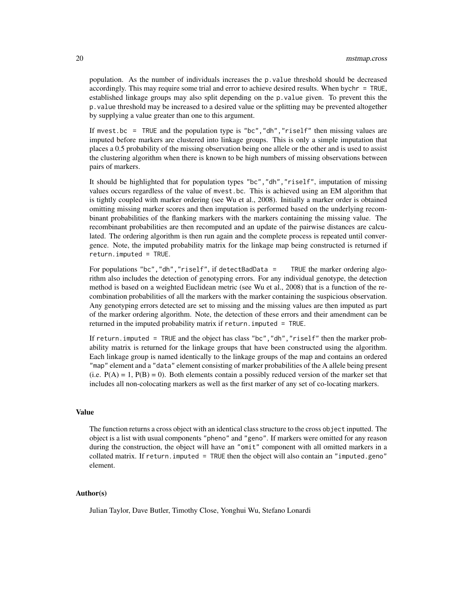population. As the number of individuals increases the p.value threshold should be decreased accordingly. This may require some trial and error to achieve desired results. When bychr = TRUE, established linkage groups may also split depending on the p.value given. To prevent this the p.value threshold may be increased to a desired value or the splitting may be prevented altogether by supplying a value greater than one to this argument.

If mvest.bc = TRUE and the population type is "bc","dh","riself" then missing values are imputed before markers are clustered into linkage groups. This is only a simple imputation that places a 0.5 probability of the missing observation being one allele or the other and is used to assist the clustering algorithm when there is known to be high numbers of missing observations between pairs of markers.

It should be highlighted that for population types "bc","dh","riself", imputation of missing values occurs regardless of the value of mvest.bc. This is achieved using an EM algorithm that is tightly coupled with marker ordering (see Wu et al., 2008). Initially a marker order is obtained omitting missing marker scores and then imputation is performed based on the underlying recombinant probabilities of the flanking markers with the markers containing the missing value. The recombinant probabilities are then recomputed and an update of the pairwise distances are calculated. The ordering algorithm is then run again and the complete process is repeated until convergence. Note, the imputed probability matrix for the linkage map being constructed is returned if return.imputed = TRUE.

For populations "bc","dh","riself", if detectBadData = TRUE the marker ordering algorithm also includes the detection of genotyping errors. For any individual genotype, the detection method is based on a weighted Euclidean metric (see Wu et al., 2008) that is a function of the recombination probabilities of all the markers with the marker containing the suspicious observation. Any genotyping errors detected are set to missing and the missing values are then imputed as part of the marker ordering algorithm. Note, the detection of these errors and their amendment can be returned in the imputed probability matrix if return. imputed = TRUE.

If return. imputed = TRUE and the object has class "bc", "dh", "riself" then the marker probability matrix is returned for the linkage groups that have been constructed using the algorithm. Each linkage group is named identically to the linkage groups of the map and contains an ordered "map" element and a "data" element consisting of marker probabilities of the A allele being present (i.e.  $P(A) = 1$ ,  $P(B) = 0$ ). Both elements contain a possibly reduced version of the marker set that includes all non-colocating markers as well as the first marker of any set of co-locating markers.

# Value

The function returns a cross object with an identical class structure to the cross object inputted. The object is a list with usual components "pheno" and "geno". If markers were omitted for any reason during the construction, the object will have an "omit" component with all omitted markers in a collated matrix. If return.imputed = TRUE then the object will also contain an "imputed.geno" element.

# Author(s)

Julian Taylor, Dave Butler, Timothy Close, Yonghui Wu, Stefano Lonardi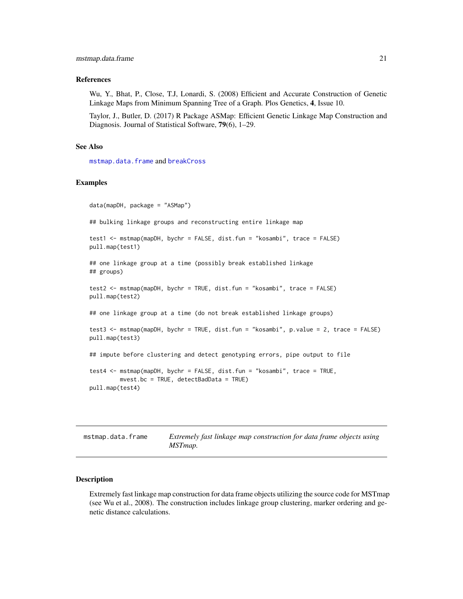# <span id="page-20-0"></span>References

Wu, Y., Bhat, P., Close, T.J, Lonardi, S. (2008) Efficient and Accurate Construction of Genetic Linkage Maps from Minimum Spanning Tree of a Graph. Plos Genetics, 4, Issue 10.

Taylor, J., Butler, D. (2017) R Package ASMap: Efficient Genetic Linkage Map Construction and Diagnosis. Journal of Statistical Software, 79(6), 1–29.

# See Also

[mstmap.data.frame](#page-20-1) and [breakCross](#page-4-1)

### Examples

```
data(mapDH, package = "ASMap")
## bulking linkage groups and reconstructing entire linkage map
test1 <- mstmap(mapDH, bychr = FALSE, dist.fun = "kosambi", trace = FALSE)
pull.map(test1)
## one linkage group at a time (possibly break established linkage
## groups)
test2 <- mstmap(mapDH, bychr = TRUE, dist.fun = "kosambi", trace = FALSE)
pull.map(test2)
## one linkage group at a time (do not break established linkage groups)
test3 <- mstmap(mapDH, bychr = TRUE, dist.fun = "kosambi", p.value = 2, trace = FALSE)
pull.map(test3)
## impute before clustering and detect genotyping errors, pipe output to file
test4 <- mstmap(mapDH, bychr = FALSE, dist.fun = "kosambi", trace = TRUE,
        mvest.bc = TRUE, detectBadData = TRUE)
pull.map(test4)
```
<span id="page-20-1"></span>

| mstmap.data.frame | Extremely fast linkage map construction for data frame objects using |
|-------------------|----------------------------------------------------------------------|
|                   | MSTmap.                                                              |

#### **Description**

Extremely fast linkage map construction for data frame objects utilizing the source code for MSTmap (see Wu et al., 2008). The construction includes linkage group clustering, marker ordering and genetic distance calculations.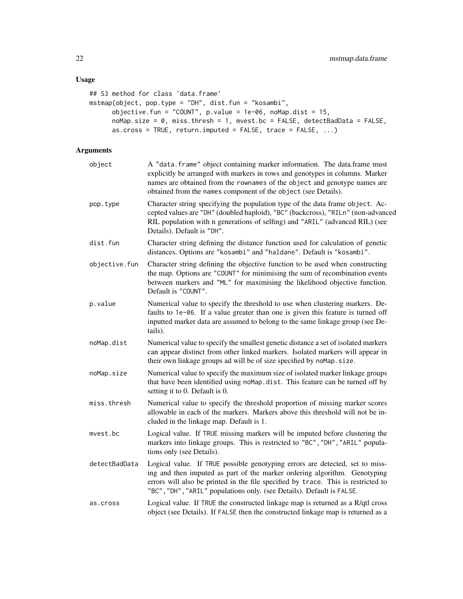```
## S3 method for class 'data.frame'
mstmap(object, pop.type = "DH", dist.fun = "kosambi",
     objective.fun = "COUNT", p.value = 1e-06, noMap.dist = 15,noMap.size = 0, miss.thresh = 1, mvest.bc = FALSE, detectBadData = FALSE,
     as.cross = TRUE, return.imputed = FALSE, trace = FALSE, ...)
```

| object        | A "data.frame" object containing marker information. The data.frame must<br>explicitly be arranged with markers in rows and genotypes in columns. Marker<br>names are obtained from the rownames of the object and genotype names are<br>obtained from the names component of the object (see Details).                 |
|---------------|-------------------------------------------------------------------------------------------------------------------------------------------------------------------------------------------------------------------------------------------------------------------------------------------------------------------------|
| pop.type      | Character string specifying the population type of the data frame object. Ac-<br>cepted values are "DH" (doubled haploid), "BC" (backcross), "RILn" (non-advanced<br>RIL population with n generations of selfing) and "ARIL" (advanced RIL) (see<br>Details). Default is "DH".                                         |
| dist.fun      | Character string defining the distance function used for calculation of genetic<br>distances. Options are "kosambi" and "haldane". Default is "kosambi".                                                                                                                                                                |
| objective.fun | Character string defining the objective function to be used when constructing<br>the map. Options are "COUNT" for minimising the sum of recombination events<br>between markers and "ML" for maximising the likelihood objective function.<br>Default is "COUNT".                                                       |
| p.value       | Numerical value to specify the threshold to use when clustering markers. De-<br>faults to 1e-06. If a value greater than one is given this feature is turned off<br>inputted marker data are assumed to belong to the same linkage group (see De-<br>tails).                                                            |
| noMap.dist    | Numerical value to specify the smallest genetic distance a set of isolated markers<br>can appear distinct from other linked markers. Isolated markers will appear in<br>their own linkage groups ad will be of size specified by noMap.size.                                                                            |
| noMap.size    | Numerical value to specify the maximum size of isolated marker linkage groups<br>that have been identified using noMap.dist. This feature can be turned off by<br>setting it to 0. Default is 0.                                                                                                                        |
| miss.thresh   | Numerical value to specify the threshold proportion of missing marker scores<br>allowable in each of the markers. Markers above this threshold will not be in-<br>cluded in the linkage map. Default is 1.                                                                                                              |
| mvest.bc      | Logical value. If TRUE missing markers will be imputed before clustering the<br>markers into linkage groups. This is restricted to "BC", "DH", "ARIL" popula-<br>tions only (see Details).                                                                                                                              |
| detectBadData | Logical value. If TRUE possible genotyping errors are detected, set to miss-<br>ing and then imputed as part of the marker ordering algorithm. Genotyping<br>errors will also be printed in the file specified by trace. This is restricted to<br>"BC", "DH", "ARIL" populations only. (see Details). Default is FALSE. |
| as.cross      | Logical value. If TRUE the constructed linkage map is returned as a R/qtl cross<br>object (see Details). If FALSE then the constructed linkage map is returned as a                                                                                                                                                     |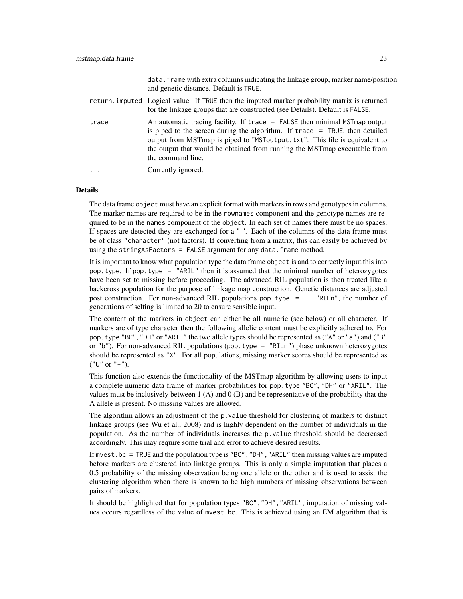|          | data. frame with extra columns indicating the linkage group, marker name/position<br>and genetic distance. Default is TRUE.                                                                                                                                                                                                                    |
|----------|------------------------------------------------------------------------------------------------------------------------------------------------------------------------------------------------------------------------------------------------------------------------------------------------------------------------------------------------|
|          | return imputed Logical value. If TRUE then the imputed marker probability matrix is returned<br>for the linkage groups that are constructed (see Details). Default is FALSE.                                                                                                                                                                   |
| trace    | An automatic tracing facility. If trace = FALSE then minimal MSTmap output<br>is piped to the screen during the algorithm. If $trace = TRUE$ , then detailed<br>output from MSTmap is piped to "MSToutput. txt". This file is equivalent to<br>the output that would be obtained from running the MST map executable from<br>the command line. |
| $\cdots$ | Currently ignored.                                                                                                                                                                                                                                                                                                                             |

#### Details

The data frame object must have an explicit format with markers in rows and genotypes in columns. The marker names are required to be in the rownames component and the genotype names are required to be in the names component of the object. In each set of names there must be no spaces. If spaces are detected they are exchanged for a "-". Each of the columns of the data frame must be of class "character" (not factors). If converting from a matrix, this can easily be achieved by using the stringAsFactors = FALSE argument for any data.frame method.

It is important to know what population type the data frame object is and to correctly input this into pop.type. If pop.type = "ARIL" then it is assumed that the minimal number of heterozygotes have been set to missing before proceeding. The advanced RIL population is then treated like a backcross population for the purpose of linkage map construction. Genetic distances are adjusted post construction. For non-advanced RIL populations pop.type = "RILn", the number of generations of selfing is limited to 20 to ensure sensible input.

The content of the markers in object can either be all numeric (see below) or all character. If markers are of type character then the following allelic content must be explicitly adhered to. For pop.type "BC", "DH" or "ARIL" the two allele types should be represented as ("A" or "a") and ("B" or "b"). For non-advanced RIL populations (pop.type = "RILn") phase unknown heterozygotes should be represented as "X". For all populations, missing marker scores should be represented as  $("U" or "-").$ 

This function also extends the functionality of the MSTmap algorithm by allowing users to input a complete numeric data frame of marker probabilities for pop.type "BC", "DH" or "ARIL". The values must be inclusively between  $1(A)$  and  $0(B)$  and be representative of the probability that the A allele is present. No missing values are allowed.

The algorithm allows an adjustment of the p.value threshold for clustering of markers to distinct linkage groups (see Wu et al., 2008) and is highly dependent on the number of individuals in the population. As the number of individuals increases the p.value threshold should be decreased accordingly. This may require some trial and error to achieve desired results.

If mvest.bc = TRUE and the population type is "BC", "DH", "ARIL" then missing values are imputed before markers are clustered into linkage groups. This is only a simple imputation that places a 0.5 probability of the missing observation being one allele or the other and is used to assist the clustering algorithm when there is known to be high numbers of missing observations between pairs of markers.

It should be highlighted that for population types "BC","DH","ARIL", imputation of missing values occurs regardless of the value of mvest.bc. This is achieved using an EM algorithm that is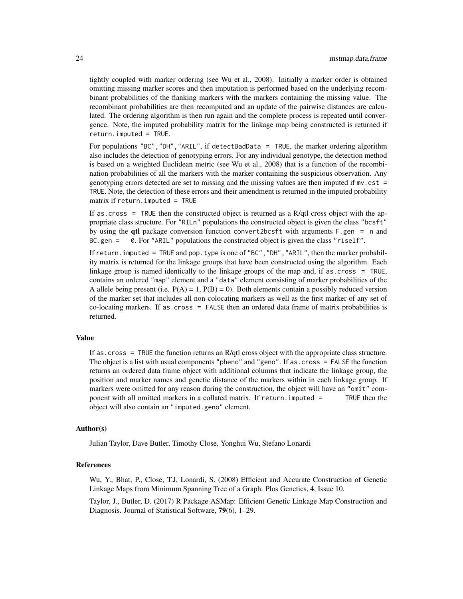tightly coupled with marker ordering (see Wu et al., 2008). Initially a marker order is obtained omitting missing marker scores and then imputation is performed based on the underlying recombinant probabilities of the flanking markers with the markers containing the missing value. The recombinant probabilities are then recomputed and an update of the pairwise distances are calculated. The ordering algorithm is then run again and the complete process is repeated until convergence. Note, the imputed probability matrix for the linkage map being constructed is returned if return.imputed = TRUE.

For populations "BC","DH","ARIL", if detectBadData = TRUE, the marker ordering algorithm also includes the detection of genotyping errors. For any individual genotype, the detection method is based on a weighted Euclidean metric (see Wu et al., 2008) that is a function of the recombination probabilities of all the markers with the marker containing the suspicious observation. Any genotyping errors detected are set to missing and the missing values are then imputed if mv.est = TRUE. Note, the detection of these errors and their amendment is returned in the imputed probability matrix if return.imputed = TRUE

If as.cross  $=$  TRUE then the constructed object is returned as a R/qtl cross object with the appropriate class structure. For "RILn" populations the constructed object is given the class "bcsft" by using the **qtl** package conversion function convert2bcsft with arguments  $F$ .gen = n and BC.gen = 0. For "ARIL" populations the constructed object is given the class "riself".

If return. imputed = TRUE and pop. type is one of "BC", "DH", "ARIL", then the marker probability matrix is returned for the linkage groups that have been constructed using the algorithm. Each linkage group is named identically to the linkage groups of the map and, if as.cross = TRUE, contains an ordered "map" element and a "data" element consisting of marker probabilities of the A allele being present (i.e.  $P(A) = 1$ ,  $P(B) = 0$ ). Both elements contain a possibly reduced version of the marker set that includes all non-colocating markers as well as the first marker of any set of co-locating markers. If as.cross = FALSE then an ordered data frame of matrix probabilities is returned.

# Value

If as.cross = TRUE the function returns an R/qtl cross object with the appropriate class structure. The object is a list with usual components "pheno" and "geno". If as.cross = FALSE the function returns an ordered data frame object with additional columns that indicate the linkage group, the position and marker names and genetic distance of the markers within in each linkage group. If markers were omitted for any reason during the construction, the object will have an "omit" component with all omitted markers in a collated matrix. If return.imputed = TRUE then the object will also contain an "imputed.geno" element.

#### Author(s)

Julian Taylor, Dave Butler, Timothy Close, Yonghui Wu, Stefano Lonardi

#### References

Wu, Y., Bhat, P., Close, T.J, Lonardi, S. (2008) Efficient and Accurate Construction of Genetic Linkage Maps from Minimum Spanning Tree of a Graph. Plos Genetics, 4, Issue 10.

Taylor, J., Butler, D. (2017) R Package ASMap: Efficient Genetic Linkage Map Construction and Diagnosis. Journal of Statistical Software, 79(6), 1–29.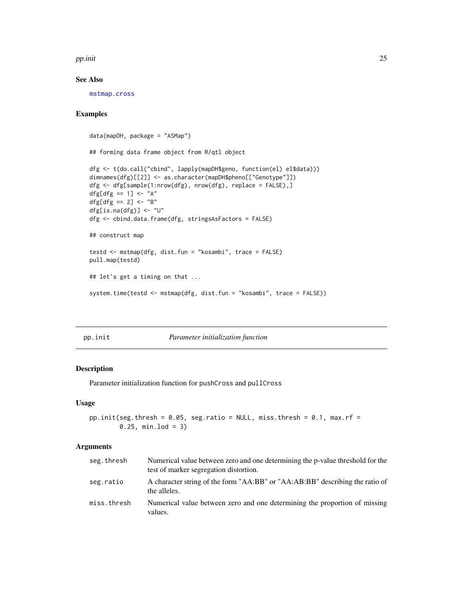#### <span id="page-24-0"></span>pp.init 25

# See Also

[mstmap.cross](#page-16-1)

# Examples

```
data(mapDH, package = "ASMap")
## forming data frame object from R/qtl object
dfg <- t(do.call("cbind", lapply(mapDH$geno, function(el) el$data)))
dimnames(dfg)[[2]] <- as.character(mapDH$pheno[["Genotype"]])
dfg <- dfg[sample(1:nrow(dfg), nrow(dfg), replace = FALSE),]
dfg[dfg == 1] <- "A"
dfg[dfg == 2] <- "B"
dfg[is.na(dfg)] <- "U"
dfg <- cbind.data.frame(dfg, stringsAsFactors = FALSE)
## construct map
testd <- mstmap(dfg, dist.fun = "kosambi", trace = FALSE)
pull.map(testd)
## let's get a timing on that ...
system.time(testd <- mstmap(dfg, dist.fun = "kosambi", trace = FALSE))
```
pp.init *Parameter initialization function*

#### Description

Parameter initialization function for pushCross and pullCross

# Usage

```
pp.init(seg.thresh = 0.05, seg.ratio = NULL, miss.thresh = 0.1, max.rf =
       0.25, min.lod = 3)
```

| seg.thresh  | Numerical value between zero and one determining the p-value threshold for the<br>test of marker segregation distortion. |
|-------------|--------------------------------------------------------------------------------------------------------------------------|
| seg.ratio   | A character string of the form "AA:BB" or "AA:AB:BB" describing the ratio of<br>the alleles.                             |
| miss.thresh | Numerical value between zero and one determining the proportion of missing<br>values.                                    |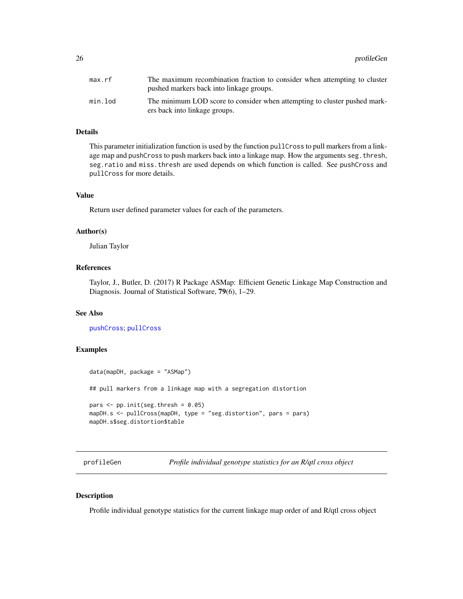<span id="page-25-0"></span>

| max.rf  | The maximum recombination fraction to consider when attempting to cluster<br>pushed markers back into linkage groups. |
|---------|-----------------------------------------------------------------------------------------------------------------------|
| min.lod | The minimum LOD score to consider when attempting to cluster pushed mark-<br>ers back into linkage groups.            |

# Details

This parameter initialization function is used by the function pullCross to pull markers from a linkage map and pushCross to push markers back into a linkage map. How the arguments seg.thresh, seg.ratio and miss.thresh are used depends on which function is called. See pushCross and pullCross for more details.

# Value

Return user defined parameter values for each of the parameters.

#### Author(s)

Julian Taylor

# References

Taylor, J., Butler, D. (2017) R Package ASMap: Efficient Genetic Linkage Map Construction and Diagnosis. Journal of Statistical Software, 79(6), 1–29.

#### See Also

[pushCross](#page-31-1); [pullCross](#page-29-1)

#### Examples

```
data(mapDH, package = "ASMap")
## pull markers from a linkage map with a segregation distortion
pars \leq pp.init(seg.thresh = 0.05)
mapDH.s <- pullCross(mapDH, type = "seg.distortion", pars = pars)
mapDH.s$seg.distortion$table
```
<span id="page-25-1"></span>profileGen *Profile individual genotype statistics for an R/qtl cross object*

# Description

Profile individual genotype statistics for the current linkage map order of and R/qtl cross object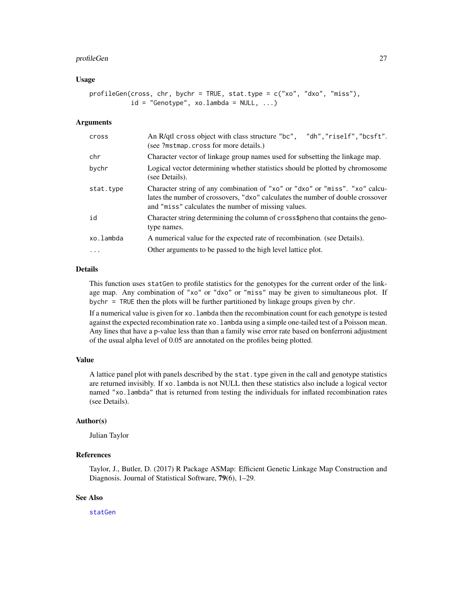#### <span id="page-26-0"></span>profileGen 27

# Usage

```
profileGen(cross, chr, bychr = TRUE, stat.type = c("xo", "dxo", "miss"),id = "Genotype", xo.lambda = NULL, ...)
```
#### Arguments

| cross     | "dh","riself","bcsft".<br>An R/qtl cross object with class structure "bc",<br>(see ?mstmap.cross for more details.)                                                                                                   |
|-----------|-----------------------------------------------------------------------------------------------------------------------------------------------------------------------------------------------------------------------|
| chr       | Character vector of linkage group names used for subsetting the linkage map.                                                                                                                                          |
| bychr     | Logical vector determining whether statistics should be plotted by chromosome<br>(see Details).                                                                                                                       |
| stat.type | Character string of any combination of "xo" or "dxo" or "miss". "xo" calcu-<br>lates the number of crossovers, "dxo" calculates the number of double crossover<br>and "miss" calculates the number of missing values. |
| id        | Character string determining the column of cross\$pheno that contains the geno-<br>type names.                                                                                                                        |
| xo.lambda | A numerical value for the expected rate of recombination. (see Details).                                                                                                                                              |
| $\cdots$  | Other arguments to be passed to the high level lattice plot.                                                                                                                                                          |

#### Details

This function uses statGen to profile statistics for the genotypes for the current order of the linkage map. Any combination of "xo" or "dxo" or "miss" may be given to simultaneous plot. If bychr = TRUE then the plots will be further partitioned by linkage groups given by chr.

If a numerical value is given for xo.lambda then the recombination count for each genotype is tested against the expected recombination rate xo.lambda using a simple one-tailed test of a Poisson mean. Any lines that have a p-value less than than a family wise error rate based on bonferroni adjustment of the usual alpha level of 0.05 are annotated on the profiles being plotted.

# Value

A lattice panel plot with panels described by the stat.type given in the call and genotype statistics are returned invisibly. If xo.lambda is not NULL then these statistics also include a logical vector named "xo.lambda" that is returned from testing the individuals for inflated recombination rates (see Details).

# Author(s)

Julian Taylor

# References

Taylor, J., Butler, D. (2017) R Package ASMap: Efficient Genetic Linkage Map Construction and Diagnosis. Journal of Statistical Software, 79(6), 1–29.

# See Also

[statGen](#page-36-1)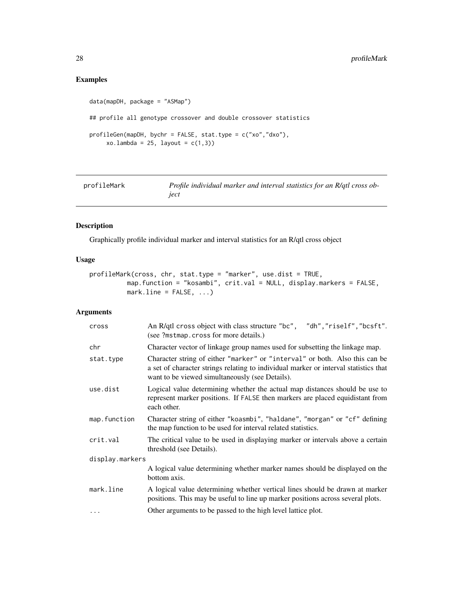# <span id="page-27-0"></span>Examples

```
data(mapDH, package = "ASMap")
## profile all genotype crossover and double crossover statistics
profileGen(mapDH, bychr = FALSE, stat.type = c("xo","dxo"),
    xo.lambda = 25, layout = c(1,3)
```
<span id="page-27-1"></span>

| profileMark | Profile individual marker and interval statistics for an R/qtl cross ob- |
|-------------|--------------------------------------------------------------------------|
|             | iect                                                                     |

# Description

Graphically profile individual marker and interval statistics for an R/qtl cross object

# Usage

```
profileMark(cross, chr, stat.type = "marker", use.dist = TRUE,
          map.function = "kosambi", crit.val = NULL, display.markers = FALSE,
          marku.line = FALSE, \ldots)
```

| cross           | "dh","riself","bcsft".<br>An R/qtl cross object with class structure "bc",<br>(see ?mstmap.cross for more details.)                                                                                                    |  |
|-----------------|------------------------------------------------------------------------------------------------------------------------------------------------------------------------------------------------------------------------|--|
| chr             | Character vector of linkage group names used for subsetting the linkage map.                                                                                                                                           |  |
| stat.type       | Character string of either "marker" or "interval" or both. Also this can be<br>a set of character strings relating to individual marker or interval statistics that<br>want to be viewed simultaneously (see Details). |  |
| use.dist        | Logical value determining whether the actual map distances should be use to<br>represent marker positions. If FALSE then markers are placed equidistant from<br>each other.                                            |  |
| map.function    | Character string of either "koasmbi", "haldane", "morgan" or "cf" defining<br>the map function to be used for interval related statistics.                                                                             |  |
| crit.val        | The critical value to be used in displaying marker or intervals above a certain<br>threshold (see Details).                                                                                                            |  |
| display.markers |                                                                                                                                                                                                                        |  |
|                 | A logical value determining whether marker names should be displayed on the<br>bottom axis.                                                                                                                            |  |
| mark.line       | A logical value determining whether vertical lines should be drawn at marker<br>positions. This may be useful to line up marker positions across several plots.                                                        |  |
| $\cdots$        | Other arguments to be passed to the high level lattice plot.                                                                                                                                                           |  |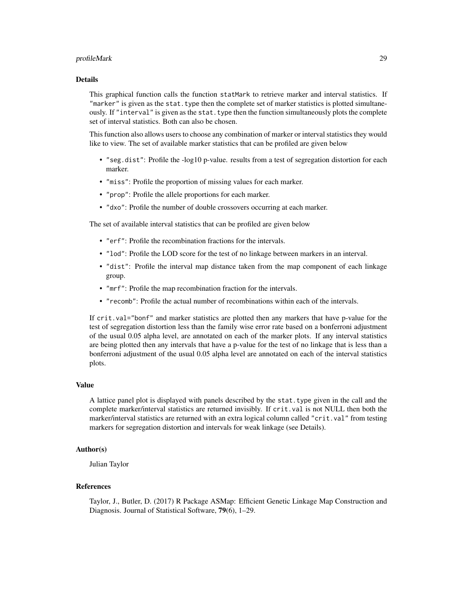#### profileMark 29

#### Details

This graphical function calls the function statMark to retrieve marker and interval statistics. If "marker" is given as the stat.type then the complete set of marker statistics is plotted simultaneously. If "interval" is given as the stat.type then the function simultaneously plots the complete set of interval statistics. Both can also be chosen.

This function also allows users to choose any combination of marker or interval statistics they would like to view. The set of available marker statistics that can be profiled are given below

- "seg.dist": Profile the -log10 p-value. results from a test of segregation distortion for each marker.
- "miss": Profile the proportion of missing values for each marker.
- "prop": Profile the allele proportions for each marker.
- "dxo": Profile the number of double crossovers occurring at each marker.

The set of available interval statistics that can be profiled are given below

- "erf": Profile the recombination fractions for the intervals.
- "lod": Profile the LOD score for the test of no linkage between markers in an interval.
- "dist": Profile the interval map distance taken from the map component of each linkage group.
- "mrf": Profile the map recombination fraction for the intervals.
- "recomb": Profile the actual number of recombinations within each of the intervals.

If crit.val="bonf" and marker statistics are plotted then any markers that have p-value for the test of segregation distortion less than the family wise error rate based on a bonferroni adjustment of the usual 0.05 alpha level, are annotated on each of the marker plots. If any interval statistics are being plotted then any intervals that have a p-value for the test of no linkage that is less than a bonferroni adjustment of the usual 0.05 alpha level are annotated on each of the interval statistics plots.

#### Value

A lattice panel plot is displayed with panels described by the stat.type given in the call and the complete marker/interval statistics are returned invisibly. If crit.val is not NULL then both the marker/interval statistics are returned with an extra logical column called "crit.val" from testing markers for segregation distortion and intervals for weak linkage (see Details).

# Author(s)

Julian Taylor

#### References

Taylor, J., Butler, D. (2017) R Package ASMap: Efficient Genetic Linkage Map Construction and Diagnosis. Journal of Statistical Software, 79(6), 1–29.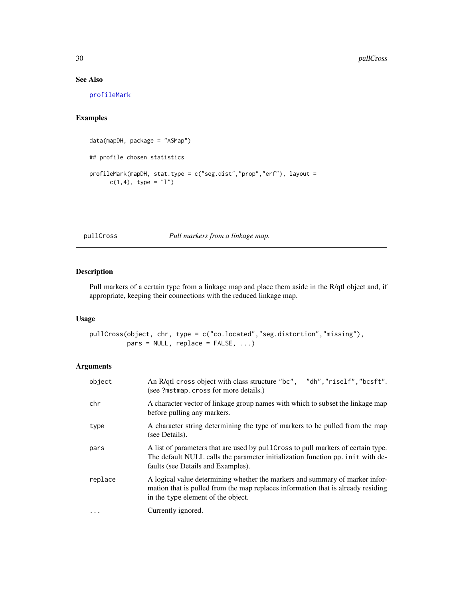# See Also

[profileMark](#page-27-1)

# Examples

```
data(mapDH, package = "ASMap")
## profile chosen statistics
profileMark(mapDH, stat.type = c("seg.dist","prop","erf"), layout =
      c(1,4), type = "l")
```
<span id="page-29-1"></span>pullCross *Pull markers from a linkage map.*

# Description

Pull markers of a certain type from a linkage map and place them aside in the R/qtl object and, if appropriate, keeping their connections with the reduced linkage map.

# Usage

pullCross(object, chr, type = c("co.located","seg.distortion","missing"), pars = NULL, replace = FALSE, ...)

| object   | An R/qtl cross object with class structure "bc", "dh", "riself", "bcsft".<br>(see ?mstmap.cross for more details.)                                                                                        |
|----------|-----------------------------------------------------------------------------------------------------------------------------------------------------------------------------------------------------------|
| chr      | A character vector of linkage group names with which to subset the linkage map<br>before pulling any markers.                                                                                             |
| type     | A character string determining the type of markers to be pulled from the map<br>(see Details).                                                                                                            |
| pars     | A list of parameters that are used by pulleross to pull markers of certain type.<br>The default NULL calls the parameter initialization function pp. in it with de-<br>faults (see Details and Examples). |
| replace  | A logical value determining whether the markers and summary of marker infor-<br>mation that is pulled from the map replaces information that is already residing<br>in the type element of the object.    |
| $\cdots$ | Currently ignored.                                                                                                                                                                                        |

<span id="page-29-0"></span>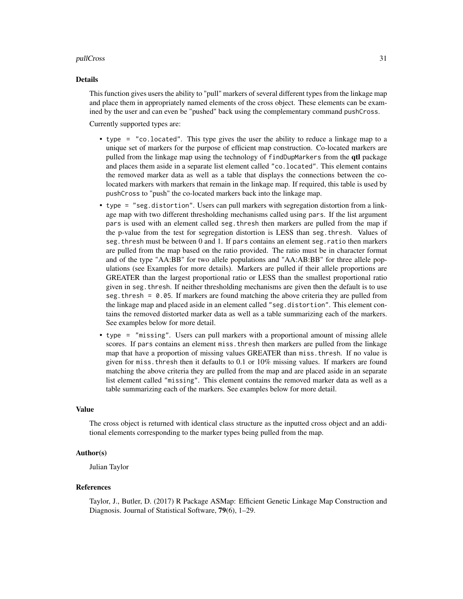#### pullCross 31

#### Details

This function gives users the ability to "pull" markers of several different types from the linkage map and place them in appropriately named elements of the cross object. These elements can be examined by the user and can even be "pushed" back using the complementary command pushCross.

Currently supported types are:

- type = "co.located". This type gives the user the ability to reduce a linkage map to a unique set of markers for the purpose of efficient map construction. Co-located markers are pulled from the linkage map using the technology of findDupMarkers from the qtl package and places them aside in a separate list element called "co.located". This element contains the removed marker data as well as a table that displays the connections between the colocated markers with markers that remain in the linkage map. If required, this table is used by pushCross to "push" the co-located markers back into the linkage map.
- type = "seg.distortion". Users can pull markers with segregation distortion from a linkage map with two different thresholding mechanisms called using pars. If the list argument pars is used with an element called seg.thresh then markers are pulled from the map if the p-value from the test for segregation distortion is LESS than seg.thresh. Values of seg.thresh must be between 0 and 1. If pars contains an element seg.ratio then markers are pulled from the map based on the ratio provided. The ratio must be in character format and of the type "AA:BB" for two allele populations and "AA:AB:BB" for three allele populations (see Examples for more details). Markers are pulled if their allele proportions are GREATER than the largest proportional ratio or LESS than the smallest proportional ratio given in seg.thresh. If neither thresholding mechanisms are given then the default is to use seg. thresh  $= 0.05$ . If markers are found matching the above criteria they are pulled from the linkage map and placed aside in an element called "seg.distortion". This element contains the removed distorted marker data as well as a table summarizing each of the markers. See examples below for more detail.
- type = "missing". Users can pull markers with a proportional amount of missing allele scores. If pars contains an element miss.thresh then markers are pulled from the linkage map that have a proportion of missing values GREATER than miss.thresh. If no value is given for miss.thresh then it defaults to 0.1 or 10% missing values. If markers are found matching the above criteria they are pulled from the map and are placed aside in an separate list element called "missing". This element contains the removed marker data as well as a table summarizing each of the markers. See examples below for more detail.

#### Value

The cross object is returned with identical class structure as the inputted cross object and an additional elements corresponding to the marker types being pulled from the map.

# Author(s)

Julian Taylor

### References

Taylor, J., Butler, D. (2017) R Package ASMap: Efficient Genetic Linkage Map Construction and Diagnosis. Journal of Statistical Software, 79(6), 1–29.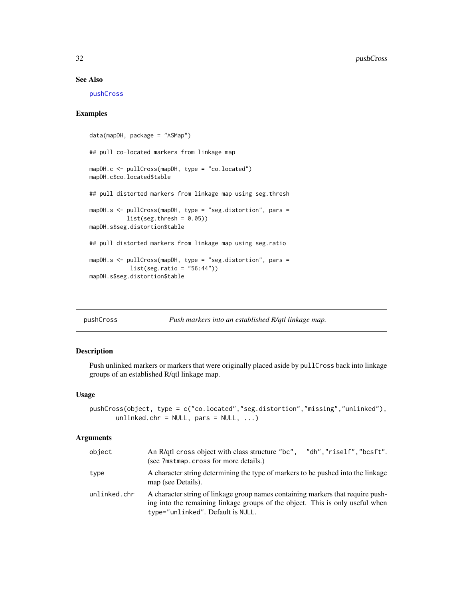# <span id="page-31-0"></span>See Also

[pushCross](#page-31-1)

# Examples

```
data(mapDH, package = "ASMap")
## pull co-located markers from linkage map
mapDH.c <- pullCross(mapDH, type = "co.located")
mapDH.c$co.located$table
## pull distorted markers from linkage map using seg.thresh
mapDH.s <- pullCross(mapDH, type = "seg.distortion", pars =
          list(seg.thresh = 0.05)mapDH.s$seg.distortion$table
## pull distorted markers from linkage map using seg.ratio
mapDH.s <- pullCross(mapDH, type = "seg.distortion", pars =
           list(seg.ratio = "56:44"))
mapDH.s$seg.distortion$table
```
<span id="page-31-1"></span>

|  | pushCross |
|--|-----------|

```
Push markers into an established R/qtl linkage map.
```
#### Description

Push unlinked markers or markers that were originally placed aside by pullCross back into linkage groups of an established R/qtl linkage map.

#### Usage

```
pushCross(object, type = c("co.located","seg.distortion","missing","unlinked"),
      unlinked.chr = NULL, pars = NULL, ...)
```

| object       | An R/qtl cross object with class structure "bc", "dh", "riself", "bcsft".<br>(see ?mstmap.cross for more details.)                                                                                    |
|--------------|-------------------------------------------------------------------------------------------------------------------------------------------------------------------------------------------------------|
| type         | A character string determining the type of markers to be pushed into the linkage<br>map (see Details).                                                                                                |
| unlinked.chr | A character string of linkage group names containing markers that require push-<br>ing into the remaining linkage groups of the object. This is only useful when<br>type="unlinked". Default is NULL. |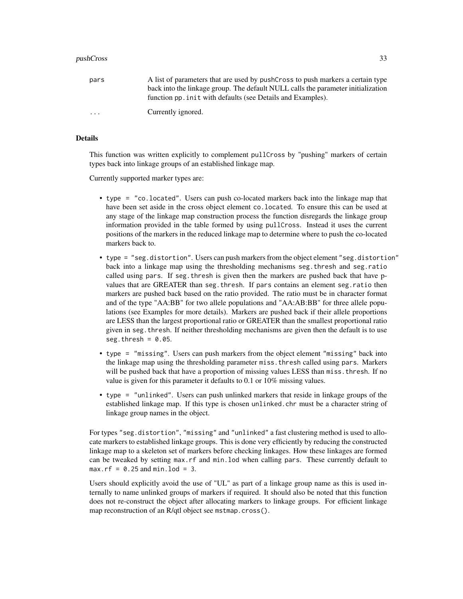| pars     | A list of parameters that are used by pushCross to push markers a certain type   |
|----------|----------------------------------------------------------------------------------|
|          | back into the linkage group. The default NULL calls the parameter initialization |
|          | function pp. in it with defaults (see Details and Examples).                     |
| $\cdots$ | Currently ignored.                                                               |

# Details

This function was written explicitly to complement pullCross by "pushing" markers of certain types back into linkage groups of an established linkage map.

Currently supported marker types are:

- type = "co.located". Users can push co-located markers back into the linkage map that have been set aside in the cross object element co.located. To ensure this can be used at any stage of the linkage map construction process the function disregards the linkage group information provided in the table formed by using pullCross. Instead it uses the current positions of the markers in the reduced linkage map to determine where to push the co-located markers back to.
- type = "seg.distortion". Users can push markers from the object element "seg.distortion" back into a linkage map using the thresholding mechanisms seg.thresh and seg.ratio called using pars. If seg.thresh is given then the markers are pushed back that have pvalues that are GREATER than seg.thresh. If pars contains an element seg.ratio then markers are pushed back based on the ratio provided. The ratio must be in character format and of the type "AA:BB" for two allele populations and "AA:AB:BB" for three allele populations (see Examples for more details). Markers are pushed back if their allele proportions are LESS than the largest proportional ratio or GREATER than the smallest proportional ratio given in seg.thresh. If neither thresholding mechanisms are given then the default is to use seg.thresh =  $0.05$ .
- type = "missing". Users can push markers from the object element "missing" back into the linkage map using the thresholding parameter miss.thresh called using pars. Markers will be pushed back that have a proportion of missing values LESS than miss. thresh. If no value is given for this parameter it defaults to 0.1 or 10% missing values.
- type = "unlinked". Users can push unlinked markers that reside in linkage groups of the established linkage map. If this type is chosen unlinked.chr must be a character string of linkage group names in the object.

For types "seg.distortion", "missing" and "unlinked" a fast clustering method is used to allocate markers to established linkage groups. This is done very efficiently by reducing the constructed linkage map to a skeleton set of markers before checking linkages. How these linkages are formed can be tweaked by setting max.rf and min.lod when calling pars. These currently default to  $max.rf = 0.25$  and  $min.$  lod = 3.

Users should explicitly avoid the use of "UL" as part of a linkage group name as this is used internally to name unlinked groups of markers if required. It should also be noted that this function does not re-construct the object after allocating markers to linkage groups. For efficient linkage map reconstruction of an R/qtl object see mstmap.cross().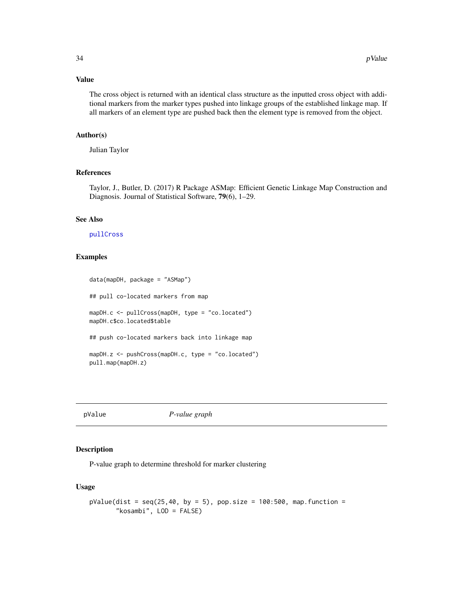# Value

The cross object is returned with an identical class structure as the inputted cross object with additional markers from the marker types pushed into linkage groups of the established linkage map. If all markers of an element type are pushed back then the element type is removed from the object.

# Author(s)

Julian Taylor

# References

Taylor, J., Butler, D. (2017) R Package ASMap: Efficient Genetic Linkage Map Construction and Diagnosis. Journal of Statistical Software, 79(6), 1–29.

#### See Also

# [pullCross](#page-29-1)

# Examples

```
data(mapDH, package = "ASMap")
## pull co-located markers from map
mapDH.c <- pullCross(mapDH, type = "co.located")
mapDH.c$co.located$table
## push co-located markers back into linkage map
mapDH.z <- pushCross(mapDH.c, type = "co.located")
pull.map(mapDH.z)
```
pValue *P-value graph*

# Description

P-value graph to determine threshold for marker clustering

#### Usage

```
pValue(dist = seq(25, 40, by = 5), pop.size = 100:500, map.function ="kosambi", LOD = FALSE)
```
<span id="page-33-0"></span>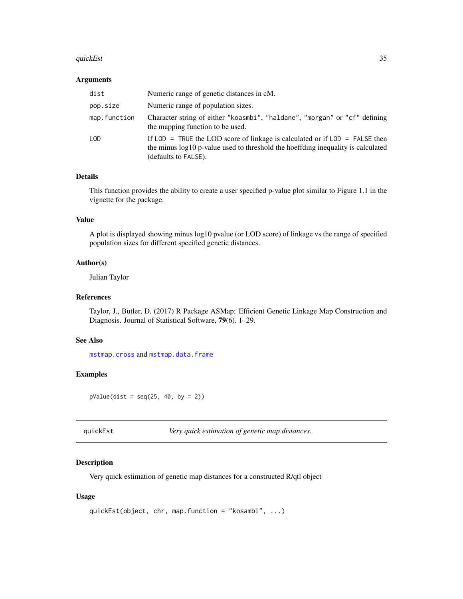#### <span id="page-34-0"></span>quickEst 35

# Arguments

| dist         | Numeric range of genetic distances in cM.                                                                                                                                                                 |
|--------------|-----------------------------------------------------------------------------------------------------------------------------------------------------------------------------------------------------------|
| pop.size     | Numeric range of population sizes.                                                                                                                                                                        |
| map.function | Character string of either "koasmbi", "haldane", "morgan" or "cf" defining<br>the mapping function to be used.                                                                                            |
| <b>LOD</b>   | If $\text{LOD}$ = TRUE the LOD score of linkage is calculated or if $\text{LOD}$ = FALSE then<br>the minus log10 p-value used to threshold the hoeffding inequality is calculated<br>(defaults to FALSE). |

# Details

This function provides the ability to create a user specified p-value plot similar to Figure 1.1 in the vignette for the package.

# Value

A plot is displayed showing minus log10 pvalue (or LOD score) of linkage vs the range of specified population sizes for different specified genetic distances.

# Author(s)

Julian Taylor

#### References

Taylor, J., Butler, D. (2017) R Package ASMap: Efficient Genetic Linkage Map Construction and Diagnosis. Journal of Statistical Software, 79(6), 1–29.

# See Also

[mstmap.cross](#page-16-1) and [mstmap.data.frame](#page-20-1)

# Examples

 $pValue(dist = seq(25, 40, by = 2))$ 

| quickEst |  |  |  |  |
|----------|--|--|--|--|
|          |  |  |  |  |
|          |  |  |  |  |
|          |  |  |  |  |

quickEst *Very quick estimation of genetic map distances.*

# Description

Very quick estimation of genetic map distances for a constructed R/qtl object

#### Usage

```
quickEst(object, chr, map.function = "kosambi", ...)
```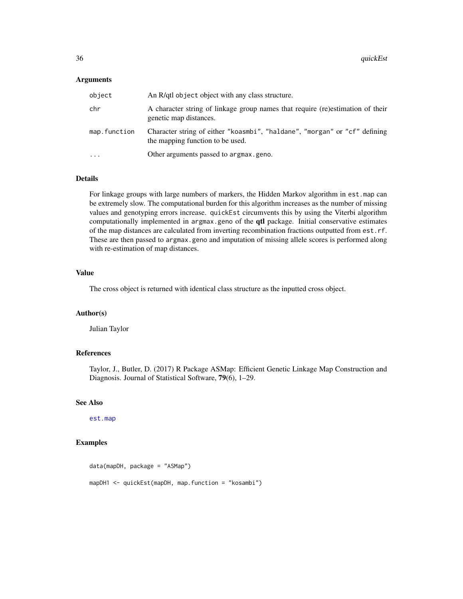# <span id="page-35-0"></span>Arguments

| object       | An R/qtl object object with any class structure.                                                               |
|--------------|----------------------------------------------------------------------------------------------------------------|
| chr          | A character string of linkage group names that require (re)estimation of their<br>genetic map distances.       |
| map.function | Character string of either "koasmbi", "haldane", "morgan" or "cf" defining<br>the mapping function to be used. |
| .            | Other arguments passed to argmax.geno.                                                                         |

# Details

For linkage groups with large numbers of markers, the Hidden Markov algorithm in est.map can be extremely slow. The computational burden for this algorithm increases as the number of missing values and genotyping errors increase. quickEst circumvents this by using the Viterbi algorithm computationally implemented in argmax.geno of the **qtl** package. Initial conservative estimates of the map distances are calculated from inverting recombination fractions outputted from est.rf. These are then passed to argmax.geno and imputation of missing allele scores is performed along with re-estimation of map distances.

#### Value

The cross object is returned with identical class structure as the inputted cross object.

#### Author(s)

Julian Taylor

# References

Taylor, J., Butler, D. (2017) R Package ASMap: Efficient Genetic Linkage Map Construction and Diagnosis. Journal of Statistical Software, 79(6), 1–29.

# See Also

[est.map](#page-0-0)

# Examples

```
data(mapDH, package = "ASMap")
mapDH1 <- quickEst(mapDH, map.function = "kosambi")
```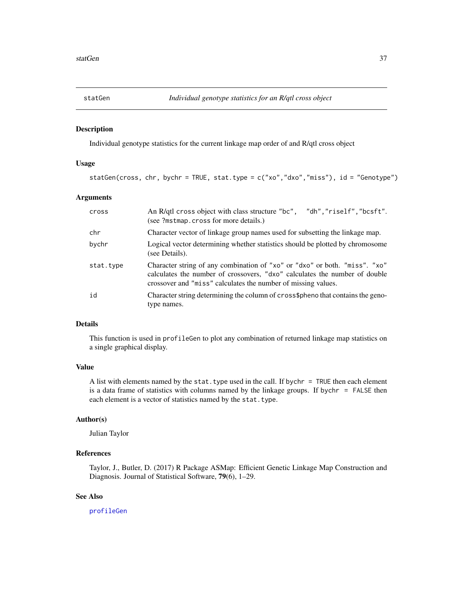<span id="page-36-1"></span><span id="page-36-0"></span>

# Description

Individual genotype statistics for the current linkage map order of and R/qtl cross object

# Usage

statGen(cross, chr, bychr = TRUE, stat.type = c("xo","dxo","miss"), id = "Genotype")

# Arguments

| cross     | An R/qtl cross object with class structure "bc",<br>"dh","riself","bcsft".<br>(see ?mstmap.cross for more details.)                                                                                                       |
|-----------|---------------------------------------------------------------------------------------------------------------------------------------------------------------------------------------------------------------------------|
| chr       | Character vector of linkage group names used for subsetting the linkage map.                                                                                                                                              |
| bychr     | Logical vector determining whether statistics should be plotted by chromosome<br>(see Details).                                                                                                                           |
| stat.type | Character string of any combination of "xo" or "dxo" or both. "miss". "xo"<br>calculates the number of crossovers, "dxo" calculates the number of double<br>crossover and "miss" calculates the number of missing values. |
| id        | Character string determining the column of cross\$pheno that contains the geno-<br>type names.                                                                                                                            |

# Details

This function is used in profileGen to plot any combination of returned linkage map statistics on a single graphical display.

#### Value

A list with elements named by the stat. type used in the call. If bych $r = TRUE$  then each element is a data frame of statistics with columns named by the linkage groups. If bychr = FALSE then each element is a vector of statistics named by the stat.type.

# Author(s)

Julian Taylor

# References

Taylor, J., Butler, D. (2017) R Package ASMap: Efficient Genetic Linkage Map Construction and Diagnosis. Journal of Statistical Software, 79(6), 1–29.

### See Also

[profileGen](#page-25-1)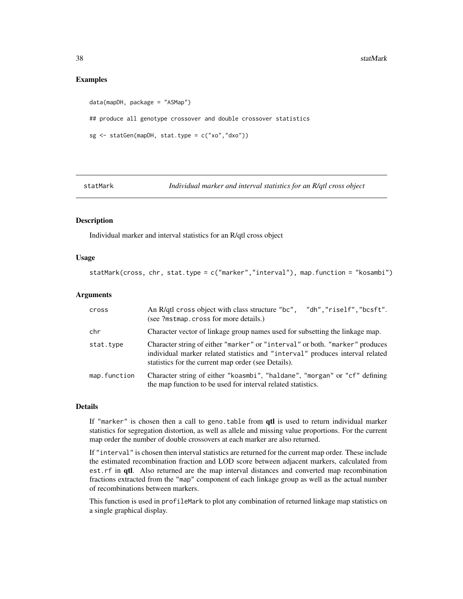# <span id="page-37-0"></span>Examples

```
data(mapDH, package = "ASMap")
## produce all genotype crossover and double crossover statistics
sg <- statGen(mapDH, stat.type = c("xo","dxo"))
```
statMark *Individual marker and interval statistics for an R/qtl cross object*

# **Description**

Individual marker and interval statistics for an R/qtl cross object

# Usage

```
statMark(cross, chr, stat.type = c("marker","interval"), map.function = "kosambi")
```
# Arguments

| cross        | An R/qtl cross object with class structure "bc", "dh", "riself", "bcsft".<br>(see ?mstmap.cross for more details.)                                                                                                   |
|--------------|----------------------------------------------------------------------------------------------------------------------------------------------------------------------------------------------------------------------|
| chr          | Character vector of linkage group names used for subsetting the linkage map.                                                                                                                                         |
| stat.type    | Character string of either "marker" or "interval" or both. "marker" produces<br>individual marker related statistics and "interval" produces interval related<br>statistics for the current map order (see Details). |
| map.function | Character string of either "koasmbi", "haldane", "morgan" or "cf" defining<br>the map function to be used for interval related statistics.                                                                           |

# Details

If "marker" is chosen then a call to geno.table from qtl is used to return individual marker statistics for segregation distortion, as well as allele and missing value proportions. For the current map order the number of double crossovers at each marker are also returned.

If "interval" is chosen then interval statistics are returned for the current map order. These include the estimated recombination fraction and LOD score between adjacent markers, calculated from est.rf in qtl. Also returned are the map interval distances and converted map recombination fractions extracted from the "map" component of each linkage group as well as the actual number of recombinations between markers.

This function is used in profileMark to plot any combination of returned linkage map statistics on a single graphical display.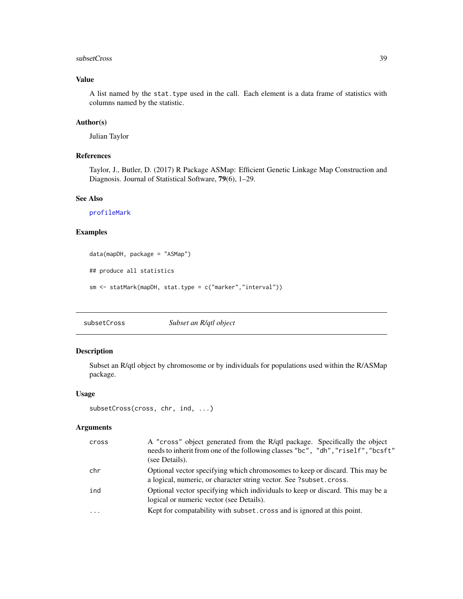#### <span id="page-38-0"></span>subsetCross 39

# Value

A list named by the stat.type used in the call. Each element is a data frame of statistics with columns named by the statistic.

# Author(s)

Julian Taylor

# References

Taylor, J., Butler, D. (2017) R Package ASMap: Efficient Genetic Linkage Map Construction and Diagnosis. Journal of Statistical Software, 79(6), 1–29.

# See Also

[profileMark](#page-27-1)

# Examples

```
data(mapDH, package = "ASMap")
## produce all statistics
sm <- statMark(mapDH, stat.type = c("marker","interval"))
```
subsetCross *Subset an R/qtl object*

# Description

Subset an R/qtl object by chromosome or by individuals for populations used within the R/ASMap package.

# Usage

```
subsetCross(cross, chr, ind, ...)
```

| cross     | A "cross" object generated from the R/qtl package. Specifically the object<br>needs to inherit from one of the following classes "bc", "dh", "riself", "bcsft"<br>(see Details). |
|-----------|----------------------------------------------------------------------------------------------------------------------------------------------------------------------------------|
| chr       | Optional vector specifying which chromosomes to keep or discard. This may be<br>a logical, numeric, or character string vector. See ?subset.cross.                               |
| ind       | Optional vector specifying which individuals to keep or discard. This may be a<br>logical or numeric vector (see Details).                                                       |
| $\ddotsc$ | Kept for compatability with subset. cross and is ignored at this point.                                                                                                          |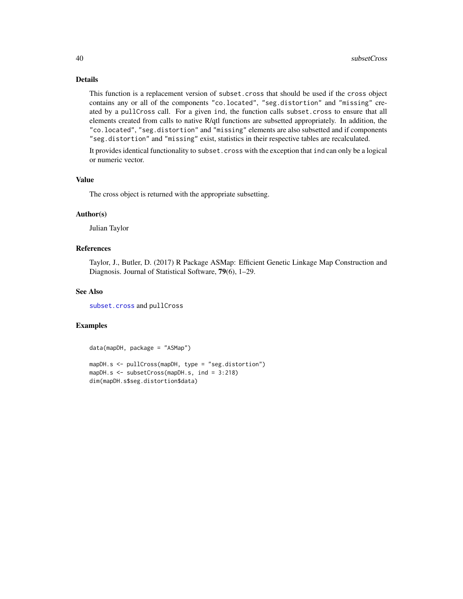# Details

This function is a replacement version of subset.cross that should be used if the cross object contains any or all of the components "co.located", "seg.distortion" and "missing" created by a pullCross call. For a given ind, the function calls subset.cross to ensure that all elements created from calls to native R/qtl functions are subsetted appropriately. In addition, the "co.located", "seg.distortion" and "missing" elements are also subsetted and if components "seg.distortion" and "missing" exist, statistics in their respective tables are recalculated.

It provides identical functionality to subset.cross with the exception that ind can only be a logical or numeric vector.

# Value

The cross object is returned with the appropriate subsetting.

# Author(s)

Julian Taylor

# References

Taylor, J., Butler, D. (2017) R Package ASMap: Efficient Genetic Linkage Map Construction and Diagnosis. Journal of Statistical Software, 79(6), 1–29.

# See Also

[subset.cross](#page-0-0) and pullCross

#### Examples

```
data(mapDH, package = "ASMap")
mapDH.s <- pullCross(mapDH, type = "seg.distortion")
mapDH.s <- subsetCross(mapDH.s, ind = 3:218)
dim(mapDH.s$seg.distortion$data)
```
<span id="page-39-0"></span>